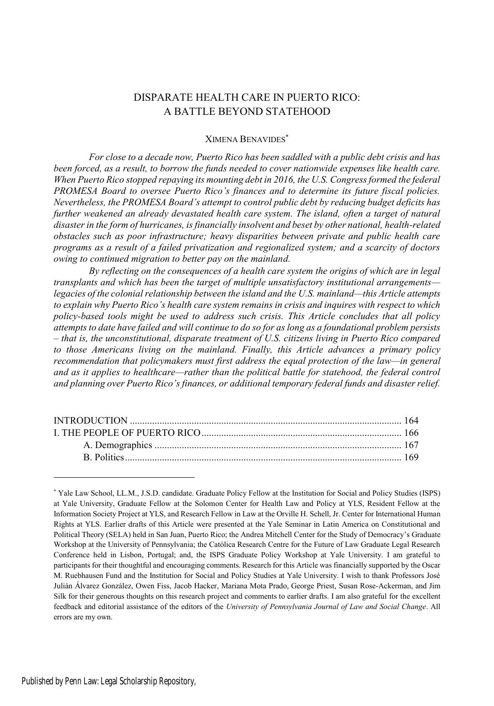# DISPARATE HEALTH CARE IN PUERTO RICO: A BATTLE BEYOND STATEHOOD

## XIMENA BENAVIDES\*

*For close to a decade now, Puerto Rico has been saddled with a public debt crisis and has been forced, as a result, to borrow the funds needed to cover nationwide expenses like health care. When Puerto Rico stopped repaying its mounting debt in 2016, the U.S. Congress formed the federal PROMESA Board to oversee Puerto Rico's finances and to determine its future fiscal policies. Nevertheless, the PROMESA Board's attempt to control public debt by reducing budget deficits has further weakened an already devastated health care system. The island, often a target of natural disaster in the form of hurricanes, is financially insolvent and beset by other national, health-related obstacles such as poor infrastructure; heavy disparities between private and public health care programs as a result of a failed privatization and regionalized system; and a scarcity of doctors owing to continued migration to better pay on the mainland.*

*By reflecting on the consequences of a health care system the origins of which are in legal transplants and which has been the target of multiple unsatisfactory institutional arrangements legacies of the colonialrelationship between the island and the U.S. mainland—this Article attempts to explain why Puerto Rico's health care system remains in crisis and inquires with respect to which policy-based tools might be used to address such crisis. This Article concludes that all policy attempts to date have failed and will continue to do so for as long as a foundational problem persists – that is, the unconstitutional, disparate treatment of U.S. citizens living in Puerto Rico compared to those Americans living on the mainland. Finally, this Article advances a primary policy recommendation that policymakers must first address the equal protection of the law—in general and as it applies to healthcare—rather than the political battle for statehood, the federal control and planning over Puerto Rico's finances, or additional temporary federal funds and disaster relief.*

<sup>\*</sup> Yale Law School, LL.M., J.S.D. candidate. Graduate Policy Fellow at the Institution for Social and Policy Studies (ISPS) at Yale University, Graduate Fellow at the Solomon Center for Health Law and Policy at YLS, Resident Fellow at the Information Society Project at YLS, and Research Fellow in Law at the Orville H. Schell, Jr. Center for International Human Rights at YLS. Earlier drafts of this Article were presented at the Yale Seminar in Latin America on Constitutional and Political Theory (SELA) held in San Juan, Puerto Rico; the Andrea Mitchell Center for the Study of Democracy's Graduate Workshop at the University of Pennsylvania; the Católica Research Centre for the Future of Law Graduate Legal Research Conference held in Lisbon, Portugal; and, the ISPS Graduate Policy Workshop at Yale University. I am grateful to participants for their thoughtful and encouraging comments. Research for this Article was financially supported by the Oscar M. Ruebhausen Fund and the Institution for Social and Policy Studies at Yale University. I wish to thank Professors José Julián Álvarez González, Owen Fiss, Jacob Hacker, Mariana Mota Prado, George Priest, Susan Rose-Ackerman, and Jim Silk for their generous thoughts on this research project and comments to earlier drafts. I am also grateful for the excellent feedback and editorial assistance of the editors of the *University of Pennsylvania Journal of Law and Social Change*. All errors are my own.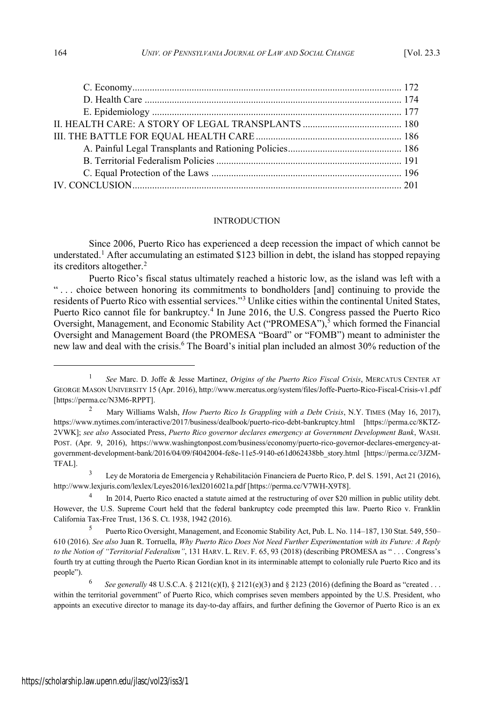#### INTRODUCTION

Since 2006, Puerto Rico has experienced a deep recession the impact of which cannot be understated.<sup>1</sup> After accumulating an estimated \$123 billion in debt, the island has stopped repaying its creditors altogether.<sup>2</sup>

Puerto Rico's fiscal status ultimately reached a historic low, as the island was left with a " . . . choice between honoring its commitments to bondholders [and] continuing to provide the residents of Puerto Rico with essential services."<sup>3</sup> Unlike cities within the continental United States, Puerto Rico cannot file for bankruptcy.<sup>4</sup> In June 2016, the U.S. Congress passed the Puerto Rico Oversight, Management, and Economic Stability Act ("PROMESA"),<sup>5</sup> which formed the Financial Oversight and Management Board (the PROMESA "Board" or "FOMB") meant to administer the new law and deal with the crisis.<sup>6</sup> The Board's initial plan included an almost 30% reduction of the

<sup>1</sup> *See* Marc. D. Joffe & Jesse Martinez, *Origins of the Puerto Rico Fiscal Crisis*, MERCATUS CENTER AT GEORGE MASON UNIVERSITY 15 (Apr. 2016), http://www.mercatus.org/system/files/Joffe-Puerto-Rico-Fiscal-Crisis-v1.pdf [https://perma.cc/N3M6-RPPT].

<sup>2</sup> Mary Williams Walsh, *How Puerto Rico Is Grappling with a Debt Crisis*, N.Y. TIMES (May 16, 2017), https://www.nytimes.com/interactive/2017/business/dealbook/puerto-rico-debt-bankruptcy.html [https://perma.cc/8KTZ-2VWK]; *see also* Associated Press, *Puerto Rico governor declares emergency at Government Development Bank*, WASH. POST. (Apr. 9, 2016), https://www.washingtonpost.com/business/economy/puerto-rico-governor-declares-emergency-atgovernment-development-bank/2016/04/09/f4042004-fe8e-11e5-9140-e61d062438bb\_story.html [https://perma.cc/3JZM-TFAL].

Ley de Moratoria de Emergencia y Rehabilitación Financiera de Puerto Rico, P. del S. 1591, Act 21 (2016), http://www.lexjuris.com/lexlex/Leyes2016/lexl2016021a.pdf [https://perma.cc/V7WH-X9T8].

<sup>4</sup> In 2014, Puerto Rico enacted a statute aimed at the restructuring of over \$20 million in public utility debt. However, the U.S. Supreme Court held that the federal bankruptcy code preempted this law. Puerto Rico v. Franklin California Tax-Free Trust, 136 S. Ct. 1938, 1942 (2016).

<sup>5</sup> Puerto Rico Oversight, Management, and Economic Stability Act, Pub. L. No. 114–187, 130 Stat. 549, 550– 610 (2016). *See also* Juan R. Torruella, *Why Puerto Rico Does Not Need Further Experimentation with its Future: A Reply to the Notion of "Territorial Federalism"*, 131 HARV. L. REV. F. 65, 93 (2018) (describing PROMESA as " . . . Congress's fourth try at cutting through the Puerto Rican Gordian knot in its interminable attempt to colonially rule Puerto Rico and its people").

<sup>6</sup> *See generally* 48 U.S.C.A. § 2121(c)(I), § 2121(e)(3) and § 2123 (2016) (defining the Board as "created . . . within the territorial government" of Puerto Rico, which comprises seven members appointed by the U.S. President, who appoints an executive director to manage its day-to-day affairs, and further defining the Governor of Puerto Rico is an ex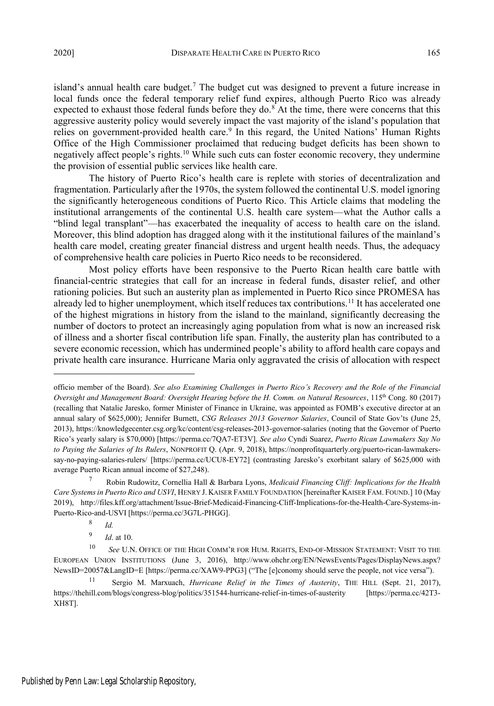island's annual health care budget.<sup>7</sup> The budget cut was designed to prevent a future increase in local funds once the federal temporary relief fund expires, although Puerto Rico was already expected to exhaust those federal funds before they do. $8$  At the time, there were concerns that this aggressive austerity policy would severely impact the vast majority of the island's population that relies on government-provided health care.<sup>9</sup> In this regard, the United Nations' Human Rights Office of the High Commissioner proclaimed that reducing budget deficits has been shown to negatively affect people's rights.<sup>10</sup> While such cuts can foster economic recovery, they undermine the provision of essential public services like health care.

The history of Puerto Rico's health care is replete with stories of decentralization and fragmentation. Particularly after the 1970s, the system followed the continental U.S. model ignoring the significantly heterogeneous conditions of Puerto Rico. This Article claims that modeling the institutional arrangements of the continental U.S. health care system—what the Author calls a "blind legal transplant"—has exacerbated the inequality of access to health care on the island. Moreover, this blind adoption has dragged along with it the institutional failures of the mainland's health care model, creating greater financial distress and urgent health needs. Thus, the adequacy of comprehensive health care policies in Puerto Rico needs to be reconsidered.

Most policy efforts have been responsive to the Puerto Rican health care battle with financial-centric strategies that call for an increase in federal funds, disaster relief, and other rationing policies. But such an austerity plan as implemented in Puerto Rico since PROMESA has already led to higher unemployment, which itself reduces tax contributions.<sup>11</sup> It has accelerated one of the highest migrations in history from the island to the mainland, significantly decreasing the number of doctors to protect an increasingly aging population from what is now an increased risk of illness and a shorter fiscal contribution life span. Finally, the austerity plan has contributed to a severe economic recession, which has undermined people's ability to afford health care copays and private health care insurance. Hurricane Maria only aggravated the crisis of allocation with respect

officio member of the Board). *See also Examining Challenges in Puerto Rico's Recovery and the Role of the Financial Oversight and Management Board: Oversight Hearing before the H. Comm. on Natural Resources*, 115th Cong. 80 (2017) (recalling that Natalie Jaresko, former Minister of Finance in Ukraine, was appointed as FOMB's executive director at an annual salary of \$625,000); Jennifer Burnett, *CSG Releases 2013 Governor Salaries*, Council of State Gov'ts (June 25, 2013), https://knowledgecenter.csg.org/kc/content/csg-releases-2013-governor-salaries (noting that the Governor of Puerto Rico's yearly salary is \$70,000) [https://perma.cc/7QA7-ET3V]. *See also* Cyndi Suarez, *Puerto Rican Lawmakers Say No to Paying the Salaries of Its Rulers*, NONPROFIT Q. (Apr. 9, 2018), https://nonprofitquarterly.org/puerto-rican-lawmakerssay-no-paying-salaries-rulers/ [https://perma.cc/UCU8-EY72] (contrasting Jaresko's exorbitant salary of \$625,000 with average Puerto Rican annual income of \$27,248).

<sup>7</sup> Robin Rudowitz, Cornellia Hall & Barbara Lyons, *Medicaid Financing Cliff: Implications for the Health Care Systemsin Puerto Rico and USVI*, HENRY J. KAISER FAMILY FOUNDATION [hereinafter KAISER FAM. FOUND.] 10 (May 2019), http://files.kff.org/attachment/Issue-Brief-Medicaid-Financing-Cliff-Implications-for-the-Health-Care-Systems-in-Puerto-Rico-and-USVI [https://perma.cc/3G7L-PHGG].

<sup>8</sup> *Id.*

<sup>9</sup> *Id*. at 10.

<sup>10</sup> *See* U.N. OFFICE OF THE HIGH COMM'R FOR HUM. RIGHTS, END-OF-MISSION STATEMENT: VISIT TO THE EUROPEAN UNION INSTITUTIONS (June 3, 2016), http://www.ohchr.org/EN/NewsEvents/Pages/DisplayNews.aspx? NewsID=20057&LangID=E [https://perma.cc/XAW9-PPG3] ("The [e]conomy should serve the people, not vice versa").

<sup>11</sup> Sergio M. Marxuach, *Hurricane Relief in the Times of Austerity*, THE HILL (Sept. 21, 2017), https://thehill.com/blogs/congress-blog/politics/351544-hurricane-relief-in-times-of-austerity [https://perma.cc/42T3- XH8T].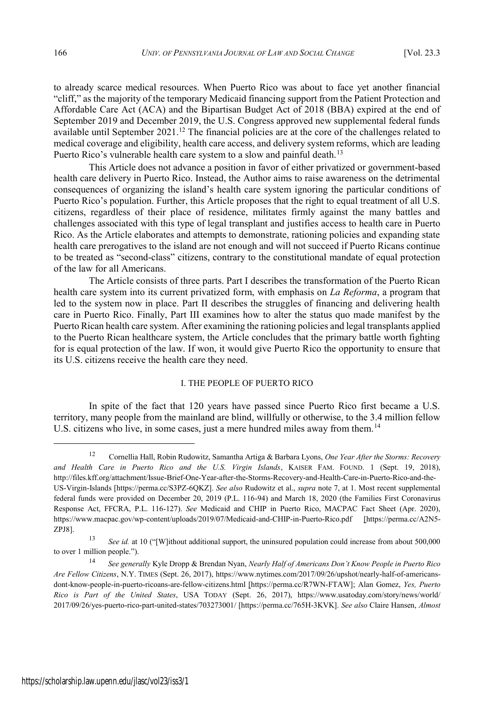to already scarce medical resources. When Puerto Rico was about to face yet another financial "cliff," as the majority of the temporary Medicaid financing support from the Patient Protection and Affordable Care Act (ACA) and the Bipartisan Budget Act of 2018 (BBA) expired at the end of September 2019 and December 2019, the U.S. Congress approved new supplemental federal funds available until September  $2021<sup>12</sup>$ . The financial policies are at the core of the challenges related to medical coverage and eligibility, health care access, and delivery system reforms, which are leading Puerto Rico's vulnerable health care system to a slow and painful death.<sup>13</sup>

This Article does not advance a position in favor of either privatized or government-based health care delivery in Puerto Rico. Instead, the Author aims to raise awareness on the detrimental consequences of organizing the island's health care system ignoring the particular conditions of Puerto Rico's population. Further, this Article proposes that the right to equal treatment of all U.S. citizens, regardless of their place of residence, militates firmly against the many battles and challenges associated with this type of legal transplant and justifies access to health care in Puerto Rico. As the Article elaborates and attempts to demonstrate, rationing policies and expanding state health care prerogatives to the island are not enough and will not succeed if Puerto Ricans continue to be treated as "second-class" citizens, contrary to the constitutional mandate of equal protection of the law for all Americans.

The Article consists of three parts. Part I describes the transformation of the Puerto Rican health care system into its current privatized form, with emphasis on *La Reforma*, a program that led to the system now in place. Part II describes the struggles of financing and delivering health care in Puerto Rico. Finally, Part III examines how to alter the status quo made manifest by the Puerto Rican health care system. After examining the rationing policies and legal transplants applied to the Puerto Rican healthcare system, the Article concludes that the primary battle worth fighting for is equal protection of the law. If won, it would give Puerto Rico the opportunity to ensure that its U.S. citizens receive the health care they need.

#### I. THE PEOPLE OF PUERTO RICO

In spite of the fact that 120 years have passed since Puerto Rico first became a U.S. territory, many people from the mainland are blind, willfully or otherwise, to the 3.4 million fellow U.S. citizens who live, in some cases, just a mere hundred miles away from them.<sup>14</sup>

<sup>12</sup> Cornellia Hall, Robin Rudowitz, Samantha Artiga & Barbara Lyons, *One Year After the Storms: Recovery and Health Care in Puerto Rico and the U.S. Virgin Islands*, KAISER FAM. FOUND. 1 (Sept. 19, 2018), http://files.kff.org/attachment/Issue-Brief-One-Year-after-the-Storms-Recovery-and-Health-Care-in-Puerto-Rico-and-the-US-Virgin-Islands [https://perma.cc/S3PZ-6QKZ]. *See also* Rudowitz et al., *supra* note 7, at 1. Most recent supplemental federal funds were provided on December 20, 2019 (P.L. 116-94) and March 18, 2020 (the Families First Coronavirus Response Act, FFCRA, P.L. 116-127). *See* Medicaid and CHIP in Puerto Rico, MACPAC Fact Sheet (Apr. 2020), https://www.macpac.gov/wp-content/uploads/2019/07/Medicaid-and-CHIP-in-Puerto-Rico.pdf [https://perma.cc/A2N5- ZPJ8].

<sup>13</sup> *See id.* at 10 ("[W]ithout additional support, the uninsured population could increase from about 500,000 to over 1 million people.").

<sup>14</sup> *See generally* Kyle Dropp & Brendan Nyan, *Nearly Half of Americans Don't Know People in Puerto Rico Are Fellow Citizens*, N.Y. TIMES (Sept. 26, 2017), https://www.nytimes.com/2017/09/26/upshot/nearly-half-of-americansdont-know-people-in-puerto-ricoans-are-fellow-citizens.html [https://perma.cc/R7WN-FTAW]; Alan Gomez, *Yes, Puerto Rico is Part of the United States*, USA TODAY (Sept. 26, 2017), https://www.usatoday.com/story/news/world/ 2017/09/26/yes-puerto-rico-part-united-states/703273001/ [https://perma.cc/765H-3KVK]. *See also* Claire Hansen, *Almost*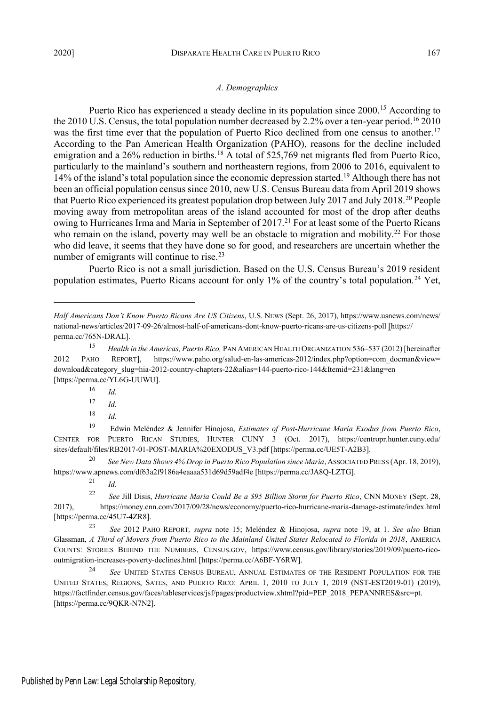## *A. Demographics*

Puerto Rico has experienced a steady decline in its population since 2000.<sup>15</sup> According to the 2010 U.S. Census, the total population number decreased by 2.2% over a ten-year period.<sup>16</sup> 2010 was the first time ever that the population of Puerto Rico declined from one census to another.<sup>17</sup> According to the Pan American Health Organization (PAHO), reasons for the decline included emigration and a 26% reduction in births.<sup>18</sup> A total of 525,769 net migrants fled from Puerto Rico, particularly to the mainland's southern and northeastern regions, from 2006 to 2016, equivalent to 14% of the island's total population since the economic depression started.<sup>19</sup> Although there has not been an official population census since 2010, new U.S. Census Bureau data from April 2019 shows that Puerto Rico experienced its greatest population drop between July 2017 and July 2018.<sup>20</sup> People moving away from metropolitan areas of the island accounted for most of the drop after deaths owing to Hurricanes Irma and Maria in September of 2017.<sup>21</sup> For at least some of the Puerto Ricans who remain on the island, poverty may well be an obstacle to migration and mobility.<sup>22</sup> For those who did leave, it seems that they have done so for good, and researchers are uncertain whether the number of emigrants will continue to rise.<sup>23</sup>

Puerto Rico is not a small jurisdiction. Based on the U.S. Census Bureau's 2019 resident population estimates, Puerto Ricans account for only 1% of the country's total population.<sup>24</sup> Yet,

<sup>20</sup> *See New Data Shows 4% Drop in Puerto Rico Population since Maria*,ASSOCIATED PRESS (Apr. 18, 2019), https://www.apnews.com/df63a2f9186a4eaaaa531d69d59adf4e [https://perma.cc/JA8Q-LZTG].

<sup>21</sup> *Id.*

*Half Americans Don't Know Puerto Ricans Are US Citizens*, U.S. NEWS (Sept. 26, 2017), https://www.usnews.com/news/ national-news/articles/2017-09-26/almost-half-of-americans-dont-know-puerto-ricans-are-us-citizens-poll.[https:// perma.cc/765N-DRAL].

<sup>15</sup> *Health in the Americas, Puerto Rico,* PAN AMERICAN HEALTH ORGANIZATION 536–537 (2012) [hereinafter 2012 PAHO REPORT], https://www.paho.org/salud-en-las-americas-2012/index.php?option=com\_docman&view= download&category\_slug=hia-2012-country-chapters-22&alias=144-puerto-rico-144&Itemid=231&lang=en [https://perma.cc/YL6G-UUWU].

<sup>16</sup> *Id*.

<sup>17</sup> *Id*.

<sup>18</sup> *Id*.

<sup>19</sup> Edwin Meléndez & Jennifer Hinojosa, *Estimates of Post-Hurricane Maria Exodus from Puerto Rico*, CENTER FOR PUERTO RICAN STUDIES, HUNTER CUNY 3 (Oct. 2017), https://centropr.hunter.cuny.edu/ sites/default/files/RB2017-01-POST-MARIA%20EXODUS\_V3.pdf [https://perma.cc/UE5T-A2B3].

<sup>22</sup> *See* Jill Disis, *Hurricane Maria Could Be a \$95 Billion Storm for Puerto Rico*, CNN MONEY (Sept. 28, 2017), https://money.cnn.com/2017/09/28/news/economy/puerto-rico-hurricane-maria-damage-estimate/index.html [https://perma.cc/45U7-4ZR8].

<sup>23</sup> *See* 2012 PAHO REPORT*, supra* note 15; Meléndez & Hinojosa, *supra* note 19, at 1. *See also* Brian Glassman, *A Third of Movers from Puerto Rico to the Mainland United States Relocated to Florida in 2018*, AMERICA COUNTS: STORIES BEHIND THE NUMBERS, CENSUS.GOV, https://www.census.gov/library/stories/2019/09/puerto-ricooutmigration-increases-poverty-declines.html [https://perma.cc/A6BF-Y6RW].

<sup>24</sup> *See* UNITED STATES CENSUS BUREAU, ANNUAL ESTIMATES OF THE RESIDENT POPULATION FOR THE UNITED STATES, REGIONS, SATES, AND PUERTO RICO: APRIL 1, 2010 TO JULY 1, 2019 (NST-EST2019-01) (2019), https://factfinder.census.gov/faces/tableservices/jsf/pages/productview.xhtml?pid=PEP\_2018\_PEPANNRES&src=pt. [https://perma.cc/9QKR-N7N2].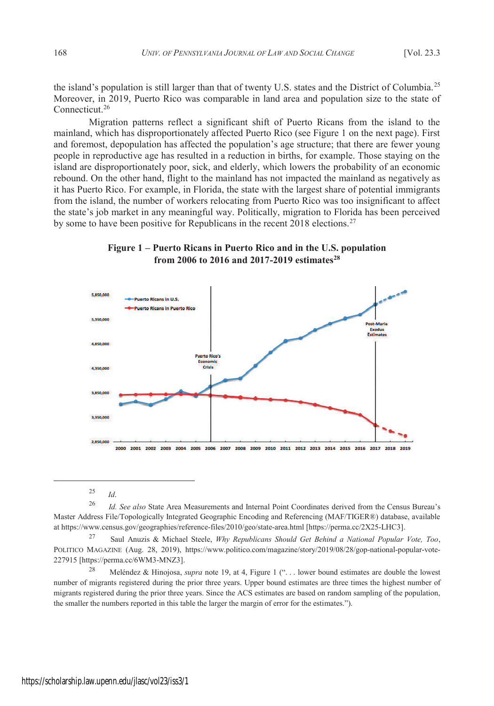the island's population is still larger than that of twenty U.S. states and the District of Columbia.<sup>25</sup> Moreover, in 2019, Puerto Rico was comparable in land area and population size to the state of Connecticut.<sup>26</sup>

Migration patterns reflect a significant shift of Puerto Ricans from the island to the mainland, which has disproportionately affected Puerto Rico (see Figure 1 on the next page). First and foremost, depopulation has affected the population's age structure; that there are fewer young people in reproductive age has resulted in a reduction in births, for example. Those staying on the island are disproportionately poor, sick, and elderly, which lowers the probability of an economic rebound. On the other hand, flight to the mainland has not impacted the mainland as negatively as it has Puerto Rico. For example, in Florida, the state with the largest share of potential immigrants from the island, the number of workers relocating from Puerto Rico was too insignificant to affect the state's job market in any meaningful way. Politically, migration to Florida has been perceived by some to have been positive for Republicans in the recent 2018 elections.<sup>27</sup>

**Figure 1 – Puerto Ricans in Puerto Rico and in the U.S. population from 2006 to 2016 and 2017-2019 estimates<sup>28</sup>**



<sup>25</sup> *Id*.

<sup>26</sup> *Id. See also* State Area Measurements and Internal Point Coordinates derived from the Census Bureau's Master Address File/Topologically Integrated Geographic Encoding and Referencing (MAF/TIGER®) database, available at https://www.census.gov/geographies/reference-files/2010/geo/state-area.html [https://perma.cc/2X25-LHC3].

<sup>27</sup> Saul Anuzis & Michael Steele, *Why Republicans Should Get Behind a National Popular Vote, Too*, POLITICO MAGAZINE (Aug. 28, 2019), https://www.politico.com/magazine/story/2019/08/28/gop-national-popular-vote-227915 [https://perma.cc/6WM3-MNZ3].

<sup>&</sup>lt;sup>28</sup> Meléndez & Hinojosa, *supra* note 19, at 4, Figure 1 ("... lower bound estimates are double the lowest number of migrants registered during the prior three years. Upper bound estimates are three times the highest number of migrants registered during the prior three years. Since the ACS estimates are based on random sampling of the population, the smaller the numbers reported in this table the larger the margin of error for the estimates.").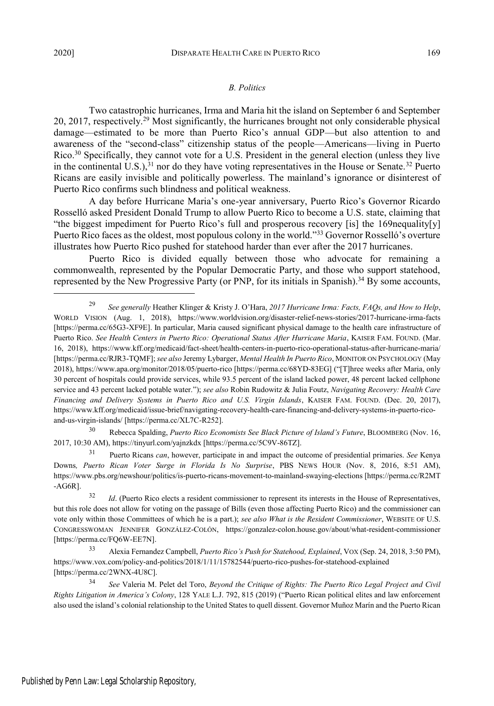## *B. Politics*

Two catastrophic hurricanes, Irma and Maria hit the island on September 6 and September 20, 2017, respectively.<sup>29</sup> Most significantly, the hurricanes brought not only considerable physical damage—estimated to be more than Puerto Rico's annual GDP—but also attention to and awareness of the "second-class" citizenship status of the people—Americans—living in Puerto Rico.<sup>30</sup> Specifically, they cannot vote for a U.S. President in the general election (unless they live in the continental U.S.),<sup>31</sup> nor do they have voting representatives in the House or Senate.<sup>32</sup> Puerto Ricans are easily invisible and politically powerless. The mainland's ignorance or disinterest of Puerto Rico confirms such blindness and political weakness.

A day before Hurricane Maria's one-year anniversary, Puerto Rico's Governor Ricardo Rosselló asked President Donald Trump to allow Puerto Rico to become a U.S. state, claiming that "the biggest impediment for Puerto Rico's full and prosperous recovery [is] the 169nequality[y] Puerto Rico faces as the oldest, most populous colony in the world."<sup>33</sup> Governor Rosselló's overture illustrates how Puerto Rico pushed for statehood harder than ever after the 2017 hurricanes.

Puerto Rico is divided equally between those who advocate for remaining a commonwealth, represented by the Popular Democratic Party, and those who support statehood, represented by the New Progressive Party (or PNP, for its initials in Spanish).<sup>34</sup> By some accounts,

<sup>30</sup> Rebecca Spalding, *Puerto Rico Economists See Black Picture of Island's Future*, BLOOMBERG (Nov. 16, 2017, 10:30 AM), https://tinyurl.com/yajnzkdx [https://perma.cc/5C9V-86TZ].

<sup>31</sup> Puerto Ricans *can*, however, participate in and impact the outcome of presidential primaries. *See* Kenya Downs*, Puerto Rican Voter Surge in Florida Is No Surprise*, PBS NEWS HOUR (Nov. 8, 2016, 8:51 AM), https://www.pbs.org/newshour/politics/is-puerto-ricans-movement-to-mainland-swaying-elections [https://perma.cc/R2MT -AG6R].

<sup>29</sup> *See generally* Heather Klinger & Kristy J. O'Hara, *2017 Hurricane Irma: Facts, FAQs, and How to Help*, WORLD VISION (Aug. 1, 2018), https://www.worldvision.org/disaster-relief-news-stories/2017-hurricane-irma-facts [https://perma.cc/65G3-XF9E]. In particular, Maria caused significant physical damage to the health care infrastructure of Puerto Rico. *See Health Centers in Puerto Rico: Operational Status After Hurricane Maria*, KAISER FAM. FOUND. (Mar. 16, 2018), https://www.kff.org/medicaid/fact-sheet/health-centers-in-puerto-rico-operational-status-after-hurricane-maria/ [https://perma.cc/RJR3-TQMF]; *see also* Jeremy Lybarger, *Mental Health In Puerto Rico*, MONITOR ON PSYCHOLOGY (May 2018), https://www.apa.org/monitor/2018/05/puerto-rico [https://perma.cc/68YD-83EG] ("[T]hree weeks after Maria, only 30 percent of hospitals could provide services, while 93.5 percent of the island lacked power, 48 percent lacked cellphone service and 43 percent lacked potable water."); *see also* Robin Rudowitz & Julia Foutz, *Navigating Recovery: Health Care Financing and Delivery Systems in Puerto Rico and U.S. Virgin Islands*, KAISER FAM. FOUND. (Dec. 20, 2017), https://www.kff.org/medicaid/issue-brief/navigating-recovery-health-care-financing-and-delivery-systems-in-puerto-ricoand-us-virgin-islands/ [https://perma.cc/XL7C-R252].

<sup>&</sup>lt;sup>32</sup> *Id.* (Puerto Rico elects a resident commissioner to represent its interests in the House of Representatives, but this role does not allow for voting on the passage of Bills (even those affecting Puerto Rico) and the commissioner can vote only within those Committees of which he is a part.); *see also What is the Resident Commissioner*, WEBSITE OF U.S. CONGRESSWOMAN JENNIFER GONZÁLEZ-COLÓN, https://gonzalez-colon.house.gov/about/what-resident-commissioner [https://perma.cc/FQ6W-EE7N].

<sup>33</sup> Alexia Fernandez Campbell, *Puerto Rico's Push for Statehood, Explained*, VOX (Sep. 24, 2018, 3:50 PM), https://www.vox.com/policy-and-politics/2018/1/11/15782544/puerto-rico-pushes-for-statehood-explained [https://perma.cc/2WNX-4U8C].

<sup>34</sup> *See* Valeria M. Pelet del Toro, *Beyond the Critique of Rights: The Puerto Rico Legal Project and Civil Rights Litigation in America's Colony*, 128 YALE L.J. 792, 815 (2019) ("Puerto Rican political elites and law enforcement also used the island's colonial relationship to the United States to quell dissent. Governor Muñoz Marín and the Puerto Rican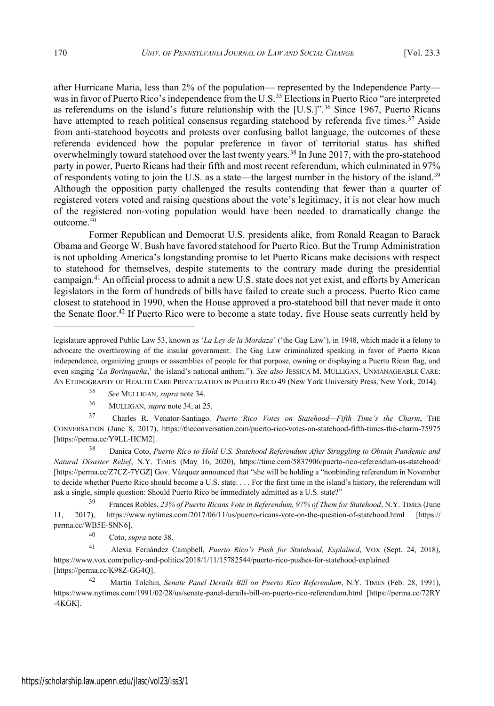after Hurricane Maria, less than 2% of the population— represented by the Independence Party was in favor of Puerto Rico's independence from the U.S.<sup>35</sup> Elections in Puerto Rico "are interpreted as referendums on the island's future relationship with the [U.S.]".<sup>36</sup> Since 1967, Puerto Ricans have attempted to reach political consensus regarding statehood by referenda five times.<sup>37</sup> Aside from anti-statehood boycotts and protests over confusing ballot language, the outcomes of these referenda evidenced how the popular preference in favor of territorial status has shifted overwhelmingly toward statehood over the last twenty years.<sup>38</sup> In June 2017, with the pro-statehood party in power, Puerto Ricans had their fifth and most recent referendum, which culminated in 97% of respondents voting to join the U.S. as a state—the largest number in the history of the island.<sup>39</sup> Although the opposition party challenged the results contending that fewer than a quarter of registered voters voted and raising questions about the vote's legitimacy, it is not clear how much of the registered non-voting population would have been needed to dramatically change the outcome.<sup>40</sup>

Former Republican and Democrat U.S. presidents alike, from Ronald Reagan to Barack Obama and George W. Bush have favored statehood for Puerto Rico. But the Trump Administration is not upholding America's longstanding promise to let Puerto Ricans make decisions with respect to statehood for themselves, despite statements to the contrary made during the presidential campaign.<sup>41</sup> An official process to admit a new U.S. state does not yet exist, and efforts by American legislators in the form of hundreds of bills have failed to create such a process. Puerto Rico came closest to statehood in 1990, when the House approved a pro-statehood bill that never made it onto the Senate floor.<sup>42</sup> If Puerto Rico were to become a state today, five House seats currently held by

<sup>37</sup> Charles R. Venator-Santiago. *Puerto Rico Votes on Statehood—Fifth Time's the Charm*, THE CONVERSATION (June 8, 2017), https://theconversation.com/puerto-rico-votes-on-statehood-fifth-times-the-charm-75975 [https://perma.cc/Y9LL-HCM2].

<sup>38</sup> Danica Coto, *Puerto Rico to Hold U.S. Statehood Referendum After Struggling to Obtain Pandemic and Natural Disaster Relief*, N.Y. TIMES (May 16, 2020), https://time.com/5837906/puerto-rico-referendum-us-statehood/ [https://perma.cc/Z7CZ-7YGZ] Gov. Vázquez announced that "she will be holding a "nonbinding referendum in November to decide whether Puerto Rico should become a U.S. state. . . . For the first time in the island's history, the referendum will ask a single, simple question: Should Puerto Rico be immediately admitted as a U.S. state?"

<sup>39</sup> Frances Robles, *23% of Puerto Ricans Vote in Referendum, 97% of Them for Statehood*, N.Y. TIMES (June 11, 2017), https://www.nytimes.com/2017/06/11/us/puerto-ricans-vote-on-the-question-of-statehood.html [https:// perma.cc/WB5E-SNN6].

<sup>40</sup> Coto, *supra* note 38.

<sup>41</sup> Alexia Fernández Campbell, *Puerto Rico's Push for Statehood, Explained*, VOX (Sept. 24, 2018), https://www.vox.com/policy-and-politics/2018/1/11/15782544/puerto-rico-pushes-for-statehood-explained [https://perma.cc/K98Z-GG4Q].

<sup>42</sup> Martin Tolchin, *Senate Panel Derails Bill on Puerto Rico Referendum*, N.Y. TIMES (Feb. 28, 1991), https://www.nytimes.com/1991/02/28/us/senate-panel-derails-bill-on-puerto-rico-referendum.html [https://perma.cc/72RY -4KGK].

legislature approved Public Law 53, known as '*La Ley de la Mordaza*' ('the Gag Law'), in 1948, which made it a felony to advocate the overthrowing of the insular government. The Gag Law criminalized speaking in favor of Puerto Rican independence, organizing groups or assemblies of people for that purpose, owning or displaying a Puerto Rican flag, and even singing '*La Borinqueña*,' the island's national anthem."). *See also* JESSICA M. MULLIGAN, UNMANAGEABLE CARE: AN ETHNOGRAPHY OF HEALTH CARE PRIVATIZATION IN PUERTO RICO 49 (New York University Press, New York, 2014).

<sup>35</sup> *See* MULLIGAN, *supra* note 34.

<sup>36</sup> MULLIGAN, *supra* note 34, at 25.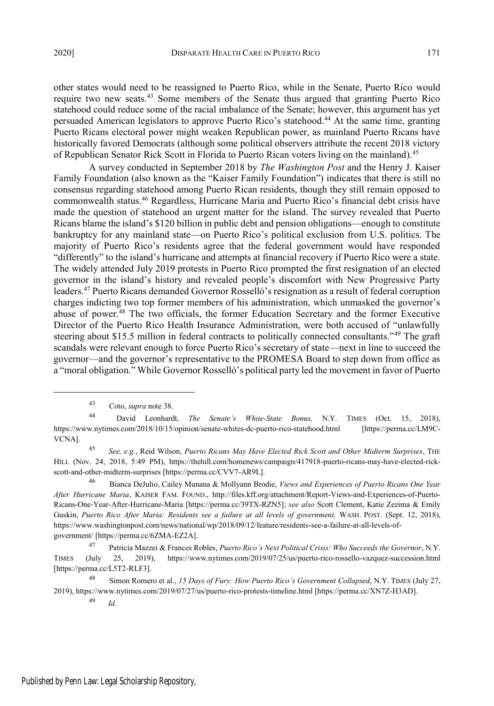other states would need to be reassigned to Puerto Rico, while in the Senate, Puerto Rico would require two new seats.<sup>43</sup> Some members of the Senate thus argued that granting Puerto Rico statehood could reduce some of the racial imbalance of the Senate; however, this argument has yet persuaded American legislators to approve Puerto Rico's statehood.<sup>44</sup> At the same time, granting Puerto Ricans electoral power might weaken Republican power, as mainland Puerto Ricans have historically favored Democrats (although some political observers attribute the recent 2018 victory of Republican Senator Rick Scott in Florida to Puerto Rican voters living on the mainland).<sup>45</sup>

A survey conducted in September 2018 by *The Washington Post* and the Henry J. Kaiser Family Foundation (also known as the "Kaiser Family Foundation") indicates that there is still no consensus regarding statehood among Puerto Rican residents, though they still remain opposed to commonwealth status.<sup>46</sup> Regardless, Hurricane Maria and Puerto Rico's financial debt crisis have made the question of statehood an urgent matter for the island. The survey revealed that Puerto Ricans blame the island's \$120 billion in public debt and pension obligations—enough to constitute bankruptcy for any mainland state—on Puerto Rico's political exclusion from U.S. politics. The majority of Puerto Rico's residents agree that the federal government would have responded "differently" to the island's hurricane and attempts at financial recovery if Puerto Rico were a state. The widely attended July 2019 protests in Puerto Rico prompted the first resignation of an elected governor in the island's history and revealed people's discomfort with New Progressive Party leaders.<sup>47</sup> Puerto Ricans demanded Governor Rosselló's resignation as a result of federal corruption charges indicting two top former members of his administration, which unmasked the governor's abuse of power.<sup>48</sup> The two officials, the former Education Secretary and the former Executive Director of the Puerto Rico Health Insurance Administration, were both accused of "unlawfully steering about \$15.5 million in federal contracts to politically connected consultants."<sup>49</sup> The graft scandals were relevant enough to force Puerto Rico's secretary of state—next in line to succeed the governor—and the governor's representative to the PROMESA Board to step down from office as a "moral obligation." While Governor Rosselló's political party led the movement in favor of Puerto

<sup>45</sup> *See, e.g.*, Reid Wilson, *Puerto Ricans May Have Elected Rick Scott and Other Midterm Surprises*, THE HILL (Nov. 24, 2018, 5:49 PM), https://thehill.com/homenews/campaign/417918-puerto-ricans-may-have-elected-rickscott-and-other-midterm-surprises [https://perma.cc/CVV7-AR9L].

<sup>46</sup> Bianca DeJulio, Cailey Munana & Mollyann Brodie, *Views and Experiences of Puerto Ricans One Year After Hurricane Maria*, KAISER FAM. FOUND., http://files.kff.org/attachment/Report-Views-and-Experiences-of-Puerto-Ricans-One-Year-After-Hurricane-Maria [https://perma.cc/39TX-RZN5]; *see also* Scott Clement, Katie Zezima & Emily Guskin, *Puerto Rico After Maria: Residents see a failure at all levels of government,* WASH. POST. (Sept. 12, 2018), https://www.washingtonpost.com/news/national/wp/2018/09/12/feature/residents-see-a-failure-at-all-levels-ofgovernment/ [https://perma.cc/6ZMA-EZ2A].

<sup>47</sup> Patricia Mazzei & Frances Robles, *Puerto Rico's Next Political Crisis: Who Succeeds the Governor*, N.Y. TIMES (July 25, 2019), https://www.nytimes.com/2019/07/25/us/puerto-rico-rossello-vazquez-succession.html [https://perma.cc/L5T2-RLF3].

<sup>48</sup> Simon Romero et al., *15 Days of Fury: How Puerto Rico's Government Collapsed*, N.Y. TIMES (July 27, 2019), https://www.nytimes.com/2019/07/27/us/puerto-rico-protests-timeline.html [https://perma.cc/XN7Z-H3AD].

<sup>43</sup> Coto, *supra* note 38.

<sup>44</sup> David Leonhardt, *The Senate's White-State Bonus,* N.Y. TIMES (Oct. 15, 2018), https://www.nytimes.com/2018/10/15/opinion/senate-whites-dc-puerto-rico-statehood.html [https://perma.cc/LM9C-VCNA].

<sup>49</sup> *Id.*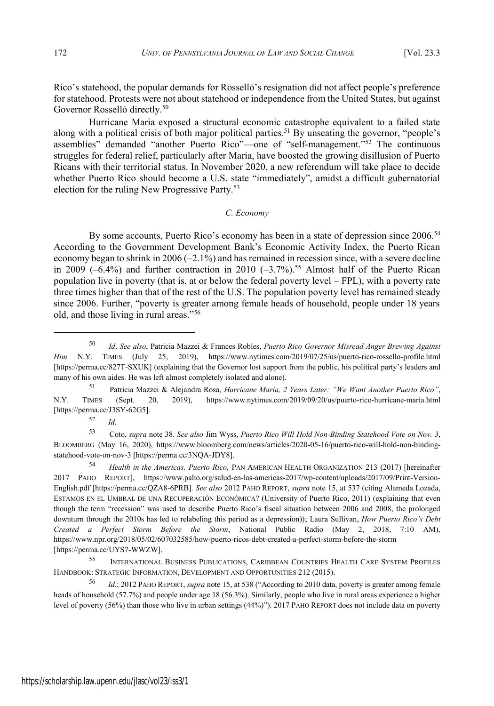Rico's statehood, the popular demands for Rosselló's resignation did not affect people's preference for statehood. Protests were not about statehood or independence from the United States, but against Governor Rosselló directly.<sup>50</sup>

Hurricane Maria exposed a structural economic catastrophe equivalent to a failed state along with a political crisis of both major political parties.<sup>51</sup> By unseating the governor, "people's assemblies" demanded "another Puerto Rico"—one of "self-management."<sup>52</sup> The continuous struggles for federal relief, particularly after Maria, have boosted the growing disillusion of Puerto Ricans with their territorial status. In November 2020, a new referendum will take place to decide whether Puerto Rico should become a U.S. state "immediately", amidst a difficult gubernatorial election for the ruling New Progressive Party.<sup>53</sup>

#### *C. Economy*

By some accounts, Puerto Rico's economy has been in a state of depression since 2006.<sup>54</sup> According to the Government Development Bank's Economic Activity Index, the Puerto Rican economy began to shrink in  $2006 (-2.1\%)$  and has remained in recession since, with a severe decline in 2009  $(-6.4\%)$  and further contraction in 2010  $(-3.7\%)$ .<sup>55</sup> Almost half of the Puerto Rican population live in poverty (that is, at or below the federal poverty level – FPL), with a poverty rate three times higher than that of the rest of the U.S. The population poverty level has remained steady since 2006. Further, "poverty is greater among female heads of household, people under 18 years old, and those living in rural areas."<sup>56</sup>

<sup>52</sup> *Id*.

<sup>50</sup> *Id*. *See also*, Patricia Mazzei & Frances Robles, *Puerto Rico Governor Misread Anger Brewing Against Him* N.Y. TIMES (July 25, 2019), https://www.nytimes.com/2019/07/25/us/puerto-rico-rossello-profile.html [https://perma.cc/827T-SXUK] (explaining that the Governor lost support from the public, his political party's leaders and many of his own aides. He was left almost completely isolated and alone).

<sup>51</sup> Patricia Mazzei & Alejandra Rosa, *Hurricane Maria, 2 Years Later: "We Want Another Puerto Rico"*, N.Y. TIMES (Sept. 20, 2019), https://www.nytimes.com/2019/09/20/us/puerto-rico-hurricane-maria.html [https://perma.cc/J3SY-62G5].

<sup>53</sup> Coto, *supra* note 38. *See also* Jim Wyss, *Puerto Rico Will Hold Non-Binding Statehood Vote on Nov. 3*, BLOOMBERG (May 16, 2020), https://www.bloomberg.com/news/articles/2020-05-16/puerto-rico-will-hold-non-bindingstatehood-vote-on-nov-3 [https://perma.cc/3NQA-JDY8].

<sup>54</sup> *Health in the Americas, Puerto Rico,* PAN AMERICAN HEALTH ORGANIZATION 213 (2017) [hereinafter 2017 PAHO REPORT], https://www.paho.org/salud-en-las-americas-2017/wp-content/uploads/2017/09/Print-Version-English.pdf [https://perma.cc/QZA8-6PRB]*. See also* 2012 PAHO REPORT, *supra* note 15, at 537 (citing Alameda Lozada, ESTAMOS EN EL UMBRAL DE UNA RECUPERACIÓN ECONÓMICA? (University of Puerto Rico, 2011) (explaining that even though the term "recession" was used to describe Puerto Rico's fiscal situation between 2006 and 2008, the prolonged downturn through the 2010s has led to relabeling this period as a depression)); Laura Sullivan, *How Puerto Rico's Debt Created a Perfect Storm Before the Storm*, National Public Radio (May 2, 2018, 7:10 AM), https://www.npr.org/2018/05/02/607032585/how-puerto-ricos-debt-created-a-perfect-storm-before-the-storm [https://perma.cc/UYS7-WWZW].

<sup>55</sup> INTERNATIONAL BUSINESS PUBLICATIONS, CARIBBEAN COUNTRIES HEALTH CARE SYSTEM PROFILES HANDBOOK: STRATEGIC INFORMATION, DEVELOPMENT AND OPPORTUNITIES 212 (2015).

<sup>56</sup> *Id*.; 2012 PAHO REPORT, *supra* note 15, at 538 ("According to 2010 data, poverty is greater among female heads of household (57.7%) and people under age 18 (56.3%). Similarly, people who live in rural areas experience a higher level of poverty (56%) than those who live in urban settings (44%)"). 2017 PAHO REPORT does not include data on poverty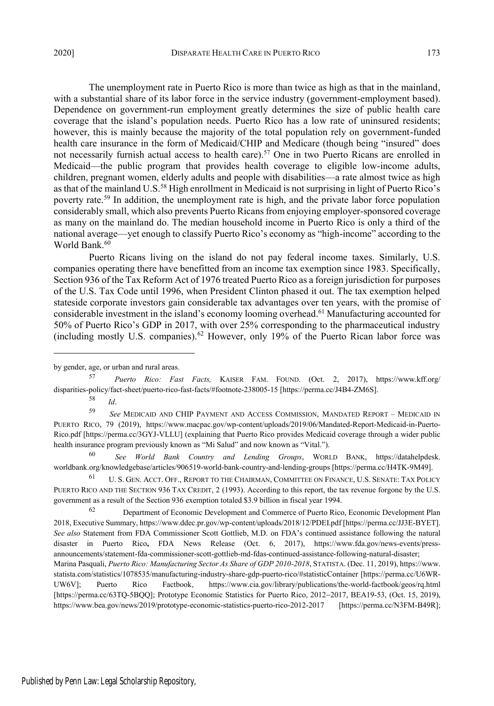The unemployment rate in Puerto Rico is more than twice as high as that in the mainland, with a substantial share of its labor force in the service industry (government-employment based). Dependence on government-run employment greatly determines the size of public health care coverage that the island's population needs. Puerto Rico has a low rate of uninsured residents; however, this is mainly because the majority of the total population rely on government-funded health care insurance in the form of Medicaid/CHIP and Medicare (though being "insured" does not necessarily furnish actual access to health care).<sup>57</sup> One in two Puerto Ricans are enrolled in Medicaid—the public program that provides health coverage to eligible low-income adults, children, pregnant women, elderly adults and people with disabilities—a rate almost twice as high as that of the mainland U.S.<sup>58</sup> High enrollment in Medicaid is not surprising in light of Puerto Rico's poverty rate.<sup>59</sup> In addition, the unemployment rate is high, and the private labor force population considerably small, which also prevents Puerto Ricans from enjoying employer-sponsored coverage as many on the mainland do. The median household income in Puerto Rico is only a third of the national average—yet enough to classify Puerto Rico's economy as "high-income" according to the World Bank.<sup>60</sup>

Puerto Ricans living on the island do not pay federal income taxes. Similarly, U.S. companies operating there have benefitted from an income tax exemption since 1983. Specifically, Section 936 of the Tax Reform Act of 1976 treated Puerto Rico as a foreign jurisdiction for purposes of the U.S. Tax Code until 1996, when President Clinton phased it out. The tax exemption helped stateside corporate investors gain considerable tax advantages over ten years, with the promise of considerable investment in the island's economy looming overhead.<sup>61</sup> Manufacturing accounted for 50% of Puerto Rico's GDP in 2017, with over 25% corresponding to the pharmaceutical industry (including mostly U.S. companies).<sup>62</sup> However, only 19% of the Puerto Rican labor force was

by gender, age, or urban and rural areas.

<sup>57</sup> *Puerto Rico: Fast Facts,* KAISER FAM. FOUND. (Oct. 2, 2017), https://www.kff.org/ disparities-policy/fact-sheet/puerto-rico-fast-facts/#footnote-238005-15 [https://perma.cc/J4B4-ZM6S].

<sup>58</sup> *Id*.

<sup>59</sup> *See* MEDICAID AND CHIP PAYMENT AND ACCESS COMMISSION, MANDATED REPORT – MEDICAID IN PUERTO RICO, 79 (2019), https://www.macpac.gov/wp-content/uploads/2019/06/Mandated-Report-Medicaid-in-Puerto-Rico.pdf [https://perma.cc/3GYJ-VLLU] (explaining that Puerto Rico provides Medicaid coverage through a wider public health insurance program previously known as "Mi Salud" and now known as "Vital.").

<sup>60</sup> *See World Bank Country and Lending Groups*, WORLD BANK, https://datahelpdesk. worldbank.org/knowledgebase/articles/906519-world-bank-country-and-lending-groups [https://perma.cc/H4TK-9M49].

<sup>61</sup> U. S. GEN. ACCT. OFF., REPORT TO THE CHAIRMAN, COMMITTEE ON FINANCE, U.S. SENATE: TAX POLICY PUERTO RICO AND THE SECTION 936 TAX CREDIT, 2 (1993). According to this report, the tax revenue forgone by the U.S. government as a result of the Section 936 exemption totaled \$3.9 billion in fiscal year 1994.

<sup>62</sup> Department of Economic Development and Commerce of Puerto Rico, Economic Development Plan 2018, Executive Summary, https://www.ddec.pr.gov/wp-content/uploads/2018/12/PDEI.pdf [https://perma.cc/JJ3E-BYET]. *See also* Statement from FDA Commissioner Scott Gottlieb, M.D. on FDA's continued assistance following the natural disaster in Puerto Rico**,** FDA News Release (Oct. 6, 2017), https://www.fda.gov/news-events/pressannouncements/statement-fda-commissioner-scott-gottlieb-md-fdas-continued-assistance-following-natural-disaster;

Marina Pasquali, *Puerto Rico: Manufacturing Sector As Share of GDP 2010-2018*, STATISTA. (Dec. 11, 2019), https://www. statista.com/statistics/1078535/manufacturing-industry-share-gdp-puerto-rico/#statisticContainer [https://perma.cc/U6WR-UW6V]; Puerto Rico Factbook, https://www.cia.gov/library/publications/the-world-factbook/geos/rq.html [https://perma.cc/63TQ-5BQQ]; Prototype Economic Statistics for Puerto Rico, 2012-2017, BEA19-53, (Oct. 15, 2019), https://www.bea.gov/news/2019/prototype-economic-statistics-puerto-rico-2012-2017 [https://perma.cc/N3FM-B49R];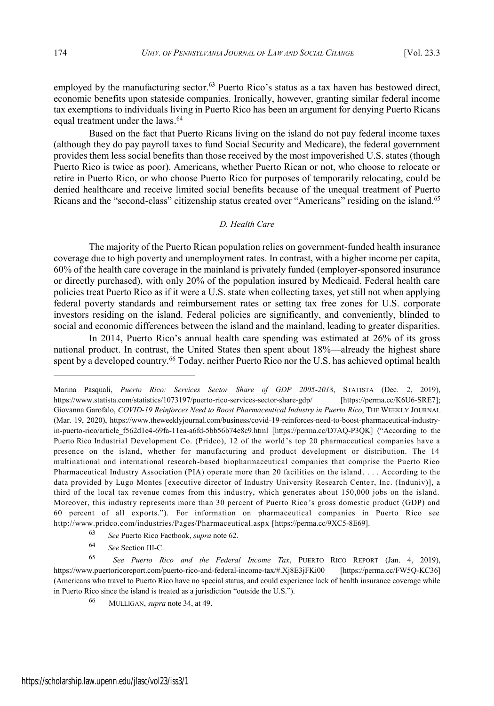employed by the manufacturing sector.<sup>63</sup> Puerto Rico's status as a tax haven has bestowed direct, economic benefits upon stateside companies. Ironically, however, granting similar federal income tax exemptions to individuals living in Puerto Rico has been an argument for denying Puerto Ricans equal treatment under the laws.<sup>64</sup>

Based on the fact that Puerto Ricans living on the island do not pay federal income taxes (although they do pay payroll taxes to fund Social Security and Medicare), the federal government provides them less social benefits than those received by the most impoverished U.S. states (though Puerto Rico is twice as poor). Americans, whether Puerto Rican or not, who choose to relocate or retire in Puerto Rico, or who choose Puerto Rico for purposes of temporarily relocating, could be denied healthcare and receive limited social benefits because of the unequal treatment of Puerto Ricans and the "second-class" citizenship status created over "Americans" residing on the island.<sup>65</sup>

## *D. Health Care*

The majority of the Puerto Rican population relies on government-funded health insurance coverage due to high poverty and unemployment rates. In contrast, with a higher income per capita, 60% of the health care coverage in the mainland is privately funded (employer-sponsored insurance or directly purchased), with only 20% of the population insured by Medicaid. Federal health care policies treat Puerto Rico as if it were a U.S. state when collecting taxes, yet still not when applying federal poverty standards and reimbursement rates or setting tax free zones for U.S. corporate investors residing on the island. Federal policies are significantly, and conveniently, blinded to social and economic differences between the island and the mainland, leading to greater disparities.

In 2014, Puerto Rico's annual health care spending was estimated at 26% of its gross national product. In contrast, the United States then spent about 18%—already the highest share spent by a developed country.<sup>66</sup> Today, neither Puerto Rico nor the U.S. has achieved optimal health

Marina Pasquali, *Puerto Rico: Services Sector Share of GDP 2005-2018*, STATISTA (Dec. 2, 2019), https://www.statista.com/statistics/1073197/puerto-rico-services-sector-share-gdp/ [https://perma.cc/K6U6-SRE7]; Giovanna Garofalo, *COVID-19 Reinforces Need to Boost Pharmaceutical Industry in Puerto Rico*, THE WEEKLY JOURNAL (Mar. 19, 2020), https://www.theweeklyjournal.com/business/covid-19-reinforces-need-to-boost-pharmaceutical-industryin-puerto-rico/article\_f562d1e4-69fa-11ea-a6fd-5bb56b74e8c9.html [https://perma.cc/D7AQ-P3QK] ("According to the Puerto Rico Industrial Development Co. (Pridco), 12 of the world 's top 20 pharmaceutical companies have a presence on the island, whether for manufacturing and product development or distribution. The 14 multinational and international research-based biopharmaceutical companies that comprise the Puerto Rico Pharmaceutical Industry Association (PIA) operate more than 20 facilities on the island . . . . According to the data provided by Lugo Montes [executive director of Industry University Research Center, Inc. (Induniv)], a third of the local tax revenue comes from this industry, which generates about 150,000 jobs on the island. Moreover, this industry represents more than 30 percent of Puerto Rico's gross domestic product (GDP) and 60 percent of all exports."). For information on pharmaceutical companies in Puerto Rico see http://www.pridco.com/industries/Pages/Pharmaceutical.aspx [https://perma.cc/9XC5-8E69].

<sup>63</sup> *See* Puerto Rico Factbook, *supra* note 62.

<sup>64</sup> *See* Section III-C.

<sup>65</sup> *See Puerto Rico and the Federal Income Tax*, PUERTO RICO REPORT (Jan. 4, 2019), https://www.puertoricoreport.com/puerto-rico-and-federal-income-tax/#.Xj8E3jFKi00 [https://perma.cc/FW5Q-KC36] (Americans who travel to Puerto Rico have no special status, and could experience lack of health insurance coverage while in Puerto Rico since the island is treated as a jurisdiction "outside the U.S.").

<sup>66</sup> MULLIGAN, *supra* note 34, at 49.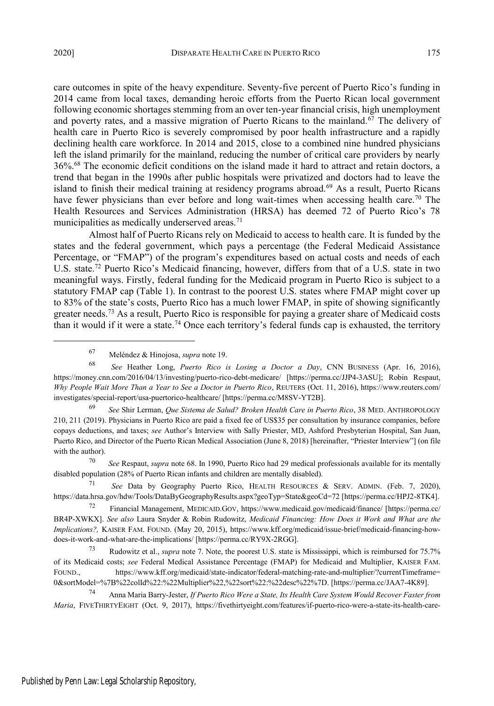care outcomes in spite of the heavy expenditure. Seventy-five percent of Puerto Rico's funding in 2014 came from local taxes, demanding heroic efforts from the Puerto Rican local government following economic shortages stemming from an over ten-year financial crisis, high unemployment and poverty rates, and a massive migration of Puerto Ricans to the mainland.<sup>67</sup> The delivery of health care in Puerto Rico is severely compromised by poor health infrastructure and a rapidly declining health care workforce. In 2014 and 2015, close to a combined nine hundred physicians left the island primarily for the mainland, reducing the number of critical care providers by nearly 36%.<sup>68</sup> The economic deficit conditions on the island made it hard to attract and retain doctors, a trend that began in the 1990s after public hospitals were privatized and doctors had to leave the island to finish their medical training at residency programs abroad.<sup>69</sup> As a result, Puerto Ricans have fewer physicians than ever before and long wait-times when accessing health care.<sup>70</sup> The Health Resources and Services Administration (HRSA) has deemed 72 of Puerto Rico's 78 municipalities as medically underserved areas.<sup>71</sup>

Almost half of Puerto Ricans rely on Medicaid to access to health care. It is funded by the states and the federal government, which pays a percentage (the Federal Medicaid Assistance Percentage, or "FMAP") of the program's expenditures based on actual costs and needs of each U.S. state.<sup>72</sup> Puerto Rico's Medicaid financing, however, differs from that of a U.S. state in two meaningful ways. Firstly, federal funding for the Medicaid program in Puerto Rico is subject to a statutory FMAP cap (Table 1). In contrast to the poorest U.S. states where FMAP might cover up to 83% of the state's costs, Puerto Rico has a much lower FMAP, in spite of showing significantly greater needs.<sup>73</sup> As a result, Puerto Rico is responsible for paying a greater share of Medicaid costs than it would if it were a state.<sup>74</sup> Once each territory's federal funds cap is exhausted, the territory

<sup>67</sup> Meléndez & Hinojosa, *supra* note 19.

<sup>68</sup> *See* Heather Long, *Puerto Rico is Losing a Doctor a Day*, CNN BUSINESS (Apr. 16, 2016), https://money.cnn.com/2016/04/13/investing/puerto-rico-debt-medicare/ [https://perma.cc/JJP4-3ASU]; Robin Respaut, *Why People Wait More Than a Year to See a Doctor in Puerto Rico*, REUTERS (Oct. 11, 2016), https://www.reuters.com/ investigates/special-report/usa-puertorico-healthcare/ [https://perma.cc/M8SV-YT2B].

<sup>69</sup> *See* Shir Lerman, *Que Sistema de Salud? Broken Health Care in Puerto Rico*, 38 MED. ANTHROPOLOGY 210, 211 (2019). Physicians in Puerto Rico are paid a fixed fee of US\$35 per consultation by insurance companies, before copays deductions, and taxes; *see* Author's Interview with Sally Priester, MD, Ashford Presbyterian Hospital, San Juan, Puerto Rico, and Director of the Puerto Rican Medical Association (June 8, 2018) [hereinafter, "Priester Interview"] (on file with the author).

<sup>70</sup> *See* Respaut, *supra* note 68. In 1990, Puerto Rico had 29 medical professionals available for its mentally disabled population (28% of Puerto Rican infants and children are mentally disabled).

<sup>71</sup> *See* Data by Geography Puerto Rico, HEALTH RESOURCES & SERV. ADMIN. (Feb. 7, 2020), https://data.hrsa.gov/hdw/Tools/DataByGeographyResults.aspx?geoTyp=State&geoCd=72 [https://perma.cc/HPJ2-8TK4].

<sup>72</sup> Financial Management, MEDICAID.GOV, https://www.medicaid.gov/medicaid/finance/ [https://perma.cc/ BR4P-XWKX]. *See also* Laura Snyder & Robin Rudowitz, *Medicaid Financing: How Does it Work and What are the Implications?,* KAISER FAM. FOUND. (May 20, 2015), https://www.kff.org/medicaid/issue-brief/medicaid-financing-howdoes-it-work-and-what-are-the-implications/ [https://perma.cc/RY9X-2RGG].

<sup>73</sup> Rudowitz et al., *supra* note 7. Note, the poorest U.S. state is Mississippi, which is reimbursed for 75.7% of its Medicaid costs; *see* Federal Medical Assistance Percentage (FMAP) for Medicaid and Multiplier, KAISER FAM. FOUND., https://www.kff.org/medicaid/state-indicator/federal-matching-rate-and-multiplier/?currentTimeframe= 0&sortModel=%7B%22colId%22:%22Multiplier%22,%22sort%22:%22desc%22%7D. [https://perma.cc/JAA7-4K89].

<sup>74</sup> Anna Maria Barry-Jester, *If Puerto Rico Were a State, Its Health Care System Would Recover Faster from Maria*, FIVETHIRTYEIGHT (Oct. 9, 2017), https://fivethirtyeight.com/features/if-puerto-rico-were-a-state-its-health-care-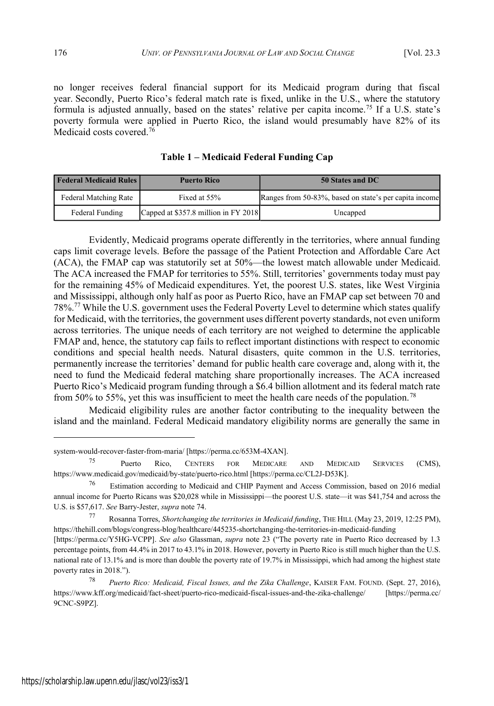no longer receives federal financial support for its Medicaid program during that fiscal year. Secondly, Puerto Rico's federal match rate is fixed, unlike in the U.S., where the statutory formula is adjusted annually, based on the states' relative per capita income.<sup>75</sup> If a U.S. state's poverty formula were applied in Puerto Rico, the island would presumably have 82% of its Medicaid costs covered.<sup>76</sup>

| <b>Federal Medicaid Rules</b><br><b>Puerto Rico</b> |                                      | 50 States and DC                                       |  |
|-----------------------------------------------------|--------------------------------------|--------------------------------------------------------|--|
| Federal Matching Rate                               | Fixed at 55%                         | Ranges from 50-83%, based on state's per capita income |  |
| Federal Funding                                     | Capped at \$357.8 million in FY 2018 | Uncapped                                               |  |

**Table 1 – Medicaid Federal Funding Cap**

Evidently, Medicaid programs operate differently in the territories, where annual funding caps limit coverage levels. Before the passage of the Patient Protection and Affordable Care Act (ACA), the FMAP cap was statutorily set at 50%—the lowest match allowable under Medicaid. The ACA increased the FMAP for territories to 55%. Still, territories' governments today must pay for the remaining 45% of Medicaid expenditures. Yet, the poorest U.S. states, like West Virginia and Mississippi, although only half as poor as Puerto Rico, have an FMAP cap set between 70 and 78%.<sup>77</sup> While the U.S. government uses the Federal Poverty Level to determine which states qualify for Medicaid, with the territories, the government uses different poverty standards, not even uniform across territories. The unique needs of each territory are not weighed to determine the applicable FMAP and, hence, the statutory cap fails to reflect important distinctions with respect to economic conditions and special health needs. Natural disasters, quite common in the U.S. territories, permanently increase the territories' demand for public health care coverage and, along with it, the need to fund the Medicaid federal matching share proportionally increases. The ACA increased Puerto Rico's Medicaid program funding through a \$6.4 billion allotment and its federal match rate from 50% to 55%, yet this was insufficient to meet the health care needs of the population.<sup>78</sup>

Medicaid eligibility rules are another factor contributing to the inequality between the island and the mainland. Federal Medicaid mandatory eligibility norms are generally the same in

system-would-recover-faster-from-maria/ [https://perma.cc/653M-4XAN].

<sup>75</sup> Puerto Rico, CENTERS FOR MEDICARE AND MEDICAID SERVICES (CMS), https://www.medicaid.gov/medicaid/by-state/puerto-rico.html [https://perma.cc/CL2J-D53K].

<sup>76</sup> Estimation according to Medicaid and CHIP Payment and Access Commission, based on 2016 medial annual income for Puerto Ricans was \$20,028 while in Mississippi—the poorest U.S. state—it was \$41,754 and across the U.S. is \$57,617. *See* Barry-Jester, *supra* note 74.

<sup>77</sup> Rosanna Torres, *Shortchanging the territories in Medicaid funding*, THE HILL (May 23, 2019, 12:25 PM), https://thehill.com/blogs/congress-blog/healthcare/445235-shortchanging-the-territories-in-medicaid-funding

<sup>[</sup>https://perma.cc/Y5HG-VCPP]. *See also* Glassman, *supra* note 23 ("The poverty rate in Puerto Rico decreased by 1.3 percentage points, from 44.4% in 2017 to 43.1% in 2018. However, poverty in Puerto Rico is still much higher than the U.S. national rate of 13.1% and is more than double the poverty rate of 19.7% in Mississippi, which had among the highest state poverty rates in 2018.").

<sup>78</sup> *Puerto Rico: Medicaid, Fiscal Issues, and the Zika Challenge*, KAISER FAM. FOUND. (Sept. 27, 2016), https://www.kff.org/medicaid/fact-sheet/puerto-rico-medicaid-fiscal-issues-and-the-zika-challenge/ [https://perma.cc/ 9CNC-S9PZ].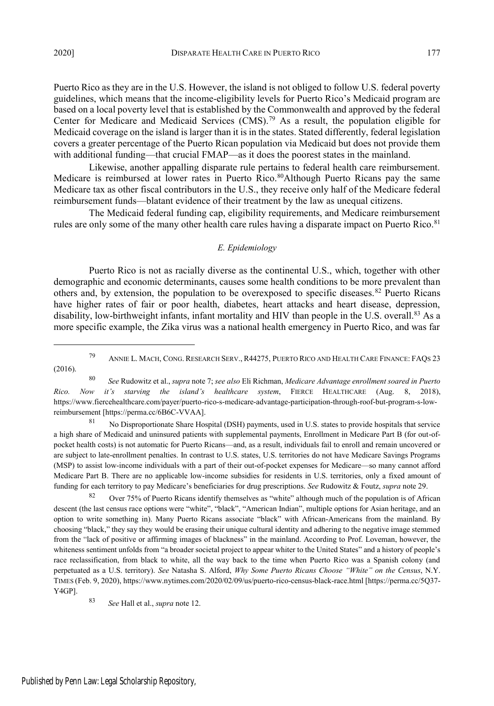Puerto Rico as they are in the U.S. However, the island is not obliged to follow U.S. federal poverty guidelines, which means that the income-eligibility levels for Puerto Rico's Medicaid program are based on a local poverty level that is established by the Commonwealth and approved by the federal Center for Medicare and Medicaid Services (CMS).<sup>79</sup> As a result, the population eligible for Medicaid coverage on the island is larger than it is in the states. Stated differently, federal legislation covers a greater percentage of the Puerto Rican population via Medicaid but does not provide them with additional funding—that crucial FMAP—as it does the poorest states in the mainland.

Likewise, another appalling disparate rule pertains to federal health care reimbursement. Medicare is reimbursed at lower rates in Puerto Rico.<sup>80</sup>Although Puerto Ricans pay the same Medicare tax as other fiscal contributors in the U.S., they receive only half of the Medicare federal reimbursement funds—blatant evidence of their treatment by the law as unequal citizens.

The Medicaid federal funding cap, eligibility requirements, and Medicare reimbursement rules are only some of the many other health care rules having a disparate impact on Puerto Rico.<sup>81</sup>

#### *E. Epidemiology*

Puerto Rico is not as racially diverse as the continental U.S., which, together with other demographic and economic determinants, causes some health conditions to be more prevalent than others and, by extension, the population to be overexposed to specific diseases.<sup>82</sup> Puerto Ricans have higher rates of fair or poor health, diabetes, heart attacks and heart disease, depression, disability, low-birthweight infants, infant mortality and HIV than people in the U.S. overall.<sup>83</sup> As a more specific example, the Zika virus was a national health emergency in Puerto Rico, and was far

81 No Disproportionate Share Hospital (DSH) payments, used in U.S. states to provide hospitals that service a high share of Medicaid and uninsured patients with supplemental payments, Enrollment in Medicare Part B (for out-ofpocket health costs) is not automatic for Puerto Ricans—and, as a result, individuals fail to enroll and remain uncovered or are subject to late-enrollment penalties. In contrast to U.S. states, U.S. territories do not have Medicare Savings Programs (MSP) to assist low-income individuals with a part of their out-of-pocket expenses for Medicare—so many cannot afford Medicare Part B. There are no applicable low-income subsidies for residents in U.S. territories, only a fixed amount of funding for each territory to pay Medicare's beneficiaries for drug prescriptions. *See* Rudowitz & Foutz, *supra* note 29.

82 Over 75% of Puerto Ricans identify themselves as "white" although much of the population is of African descent (the last census race options were "white", "black", "American Indian", multiple options for Asian heritage, and an option to write something in). Many Puerto Ricans associate "black" with African-Americans from the mainland. By choosing "black," they say they would be erasing their unique cultural identity and adhering to the negative image stemmed from the "lack of positive or affirming images of blackness" in the mainland. According to Prof. Loveman, however, the whiteness sentiment unfolds from "a broader societal project to appear whiter to the United States" and a history of people's race reclassification, from black to white, all the way back to the time when Puerto Rico was a Spanish colony (and perpetuated as a U.S. territory). *See* Natasha S. Alford, *Why Some Puerto Ricans Choose "White" on the Census*, N.Y. TIMES (Feb. 9, 2020), https://www.nytimes.com/2020/02/09/us/puerto-rico-census-black-race.html [https://perma.cc/5Q37- Y4GP].

<sup>83</sup> *See* Hall et al., *supra* note 12.

<sup>79</sup> ANNIE L. MACH, CONG. RESEARCH SERV., R44275, PUERTO RICO AND HEALTH CARE FINANCE: FAQ<sup>S</sup> 23 (2016).

<sup>80</sup> *See* Rudowitz et al., *supra* note 7; *see also* Eli Richman, *Medicare Advantage enrollment soared in Puerto Rico. Now it's starving the island's healthcare system*, FIERCE HEALTHCARE (Aug. 8, 2018), https://www.fiercehealthcare.com/payer/puerto-rico-s-medicare-advantage-participation-through-roof-but-program-s-lowreimbursement [https://perma.cc/6B6C-VVAA].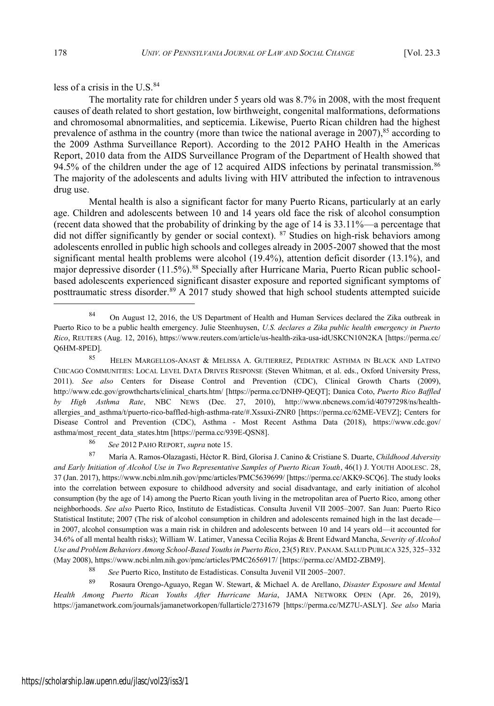less of a crisis in the  $U.S.<sup>84</sup>$ 

The mortality rate for children under 5 years old was 8.7% in 2008, with the most frequent causes of death related to short gestation, low birthweight, congenital malformations, deformations and chromosomal abnormalities, and septicemia. Likewise, Puerto Rican children had the highest prevalence of asthma in the country (more than twice the national average in 2007), $85$  according to the 2009 Asthma Surveillance Report). According to the 2012 PAHO Health in the Americas Report, 2010 data from the AIDS Surveillance Program of the Department of Health showed that 94.5% of the children under the age of 12 acquired AIDS infections by perinatal transmission.<sup>86</sup> The majority of the adolescents and adults living with HIV attributed the infection to intravenous drug use.

Mental health is also a significant factor for many Puerto Ricans, particularly at an early age. Children and adolescents between 10 and 14 years old face the risk of alcohol consumption (recent data showed that the probability of drinking by the age of 14 is 33.11%—a percentage that did not differ significantly by gender or social context). <sup>87</sup> Studies on high-risk behaviors among adolescents enrolled in public high schools and colleges already in 2005-2007 showed that the most significant mental health problems were alcohol (19.4%), attention deficit disorder (13.1%), and major depressive disorder (11.5%).<sup>88</sup> Specially after Hurricane Maria, Puerto Rican public schoolbased adolescents experienced significant disaster exposure and reported significant symptoms of posttraumatic stress disorder.<sup>89</sup> A 2017 study showed that high school students attempted suicide

<sup>88</sup> *See* Puerto Rico, Instituto de Estadísticas. Consulta Juvenil VII 2005–2007.

<sup>89</sup> Rosaura Orengo-Aguayo, Regan W. Stewart, & Michael A. de Arellano, *Disaster Exposure and Mental Health Among Puerto Rican Youths After Hurricane Maria*, JAMA NETWORK OPEN (Apr. 26, 2019), https://jamanetwork.com/journals/jamanetworkopen/fullarticle/2731679 [https://perma.cc/MZ7U-ASLY]. *See also* Maria

<sup>84</sup> On August 12, 2016, the US Department of Health and Human Services declared the Zika outbreak in Puerto Rico to be a public health emergency. Julie Steenhuysen, *U.S. declares a Zika public health emergency in Puerto Rico*, REUTERS (Aug. 12, 2016), https://www.reuters.com/article/us-health-zika-usa-idUSKCN10N2KA [https://perma.cc/ Q6HM-8PED].

<sup>85</sup> HELEN MARGELLOS-ANAST & MELISSA A. GUTIERREZ, PEDIATRIC ASTHMA IN BLACK AND LATINO CHICAGO COMMUNITIES: LOCAL LEVEL DATA DRIVES RESPONSE (Steven Whitman, et al. eds., Oxford University Press, 2011). *See also* Centers for Disease Control and Prevention (CDC), Clinical Growth Charts (2009), http://www.cdc.gov/growthcharts/clinical\_charts.htm/ [https://perma.cc/DNH9-QEQT]; Danica Coto, *Puerto Rico Baffled by High Asthma Rate*, NBC NEWS (Dec. 27, 2010), http://www.nbcnews.com/id/40797298/ns/healthallergies\_and\_asthma/t/puerto-rico-baffled-high-asthma-rate/#.Xssuxi-ZNR0 [https://perma.cc/62ME-VEVZ]; Centers for Disease Control and Prevention (CDC), Asthma - Most Recent Asthma Data (2018), https://www.cdc.gov/ asthma/most\_recent\_data\_states.htm [https://perma.cc/939E-QSN8].

<sup>86</sup> *See* 2012 PAHO REPORT, *supra* note 15.

<sup>87</sup> María A. Ramos-Olazagasti, Héctor R. Bird, Glorisa J. Canino & Cristiane S. Duarte, *Childhood Adversity and Early Initiation of Alcohol Use in Two Representative Samples of Puerto Rican Youth*, 46(1) J. YOUTH ADOLESC. 28, 37 (Jan. 2017), https://www.ncbi.nlm.nih.gov/pmc/articles/PMC5639699/ [https://perma.cc/AKK9-SCQ6]. The study looks into the correlation between exposure to childhood adversity and social disadvantage, and early initiation of alcohol consumption (by the age of 14) among the Puerto Rican youth living in the metropolitan area of Puerto Rico, among other neighborhoods. *See also* Puerto Rico, Instituto de Estadísticas. Consulta Juvenil VII 2005–2007. San Juan: Puerto Rico Statistical Institute; 2007 (The risk of alcohol consumption in children and adolescents remained high in the last decade in 2007, alcohol consumption was a main risk in children and adolescents between 10 and 14 years old—it accounted for 34.6% of all mental health risks); William W. Latimer, Vanessa Cecilia Rojas & Brent Edward Mancha, *Severity of Alcohol Use and Problem Behaviors Among School-Based Youthsin Puerto Rico*, 23(5) REV. PANAM. SALUD PUBLICA 325, 325332 (May 2008), https://www.ncbi.nlm.nih.gov/pmc/articles/PMC2656917/ [https://perma.cc/AMD2-ZBM9].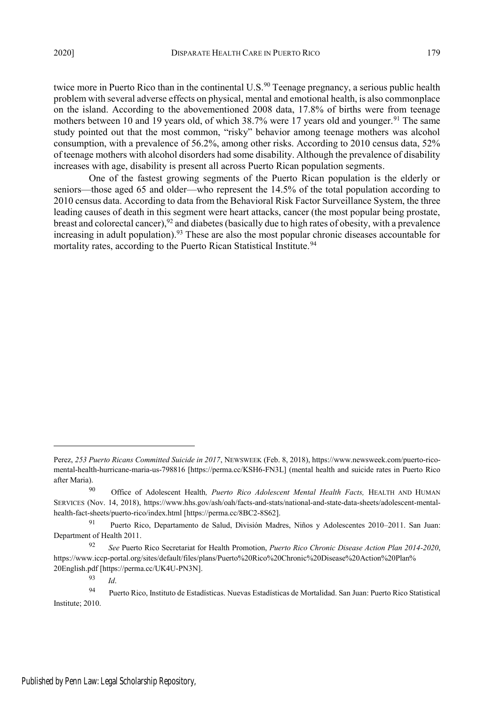twice more in Puerto Rico than in the continental U.S.<sup>90</sup> Teenage pregnancy, a serious public health problem with several adverse effects on physical, mental and emotional health, is also commonplace on the island. According to the abovementioned 2008 data, 17.8% of births were from teenage mothers between 10 and 19 years old, of which  $38.7\%$  were 17 years old and younger.<sup>91</sup> The same study pointed out that the most common, "risky" behavior among teenage mothers was alcohol consumption, with a prevalence of 56.2%, among other risks. According to 2010 census data, 52% of teenage mothers with alcohol disorders had some disability. Although the prevalence of disability increases with age, disability is present all across Puerto Rican population segments.

One of the fastest growing segments of the Puerto Rican population is the elderly or seniors—those aged 65 and older—who represent the 14.5% of the total population according to 2010 census data. According to data from the Behavioral Risk Factor Surveillance System, the three leading causes of death in this segment were heart attacks, cancer (the most popular being prostate, breast and colorectal cancer),<sup>92</sup> and diabetes (basically due to high rates of obesity, with a prevalence increasing in adult population).<sup>93</sup> These are also the most popular chronic diseases accountable for mortality rates, according to the Puerto Rican Statistical Institute.<sup>94</sup>

 $\frac{93}{94}$  *Id.* 

Perez, *253 Puerto Ricans Committed Suicide in 2017*, NEWSWEEK (Feb. 8, 2018), https://www.newsweek.com/puerto-ricomental-health-hurricane-maria-us-798816 [https://perma.cc/KSH6-FN3L] (mental health and suicide rates in Puerto Rico after Maria).

<sup>90</sup> Office of Adolescent Health*, Puerto Rico Adolescent Mental Health Facts,* HEALTH AND HUMAN SERVICES (Nov. 14, 2018), https://www.hhs.gov/ash/oah/facts-and-stats/national-and-state-data-sheets/adolescent-mentalhealth-fact-sheets/puerto-rico/index.html [https://perma.cc/8BC2-8S62].

<sup>91</sup> Puerto Rico, Departamento de Salud, División Madres, Niños y Adolescentes 2010–2011. San Juan: Department of Health 2011.

<sup>92</sup> *See* Puerto Rico Secretariat for Health Promotion, *Puerto Rico Chronic Disease Action Plan 2014-2020*, https://www.iccp-portal.org/sites/default/files/plans/Puerto%20Rico%20Chronic%20Disease%20Action%20Plan% 20English.pdf [https://perma.cc/UK4U-PN3N].

<sup>94</sup> Puerto Rico, Instituto de Estadísticas. Nuevas Estadísticas de Mortalidad. San Juan: Puerto Rico Statistical Institute; 2010.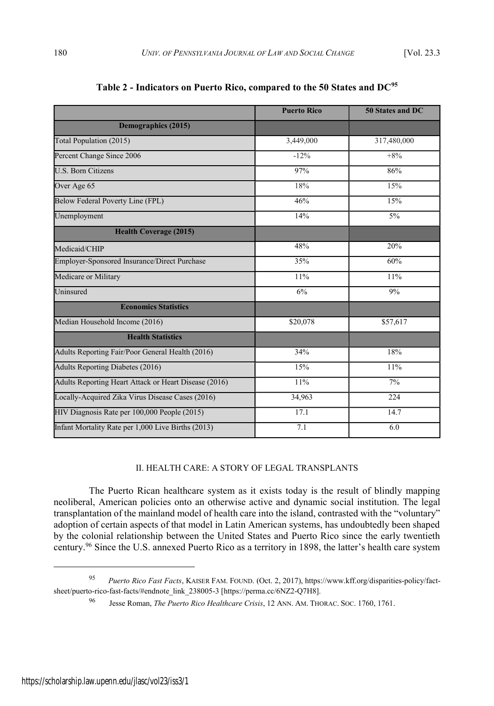|                                                       | <b>Puerto Rico</b> | 50 States and DC |
|-------------------------------------------------------|--------------------|------------------|
| Demographics (2015)                                   |                    |                  |
| Total Population (2015)                               | 3,449,000          | 317,480,000      |
| Percent Change Since 2006                             | $-12%$             | $+8%$            |
| U.S. Born Citizens                                    | 97%                | 86%              |
| Over Age 65                                           | 18%                | 15%              |
| Below Federal Poverty Line (FPL)                      | 46%                | 15%              |
| Unemployment                                          | 14%                | 5%               |
| <b>Health Coverage (2015)</b>                         |                    |                  |
| Medicaid/CHIP                                         | 48%                | 20%              |
| Employer-Sponsored Insurance/Direct Purchase          | 35%                | 60%              |
| Medicare or Military                                  | 11%                | 11%              |
| Uninsured                                             | 6%                 | 9%               |
| <b>Economics Statistics</b>                           |                    |                  |
| Median Household Income (2016)                        | \$20,078           | \$57,617         |
| <b>Health Statistics</b>                              |                    |                  |
| Adults Reporting Fair/Poor General Health (2016)      | 34%                | 18%              |
| Adults Reporting Diabetes (2016)                      | 15%                | 11%              |
| Adults Reporting Heart Attack or Heart Disease (2016) | 11%                | $7\%$            |
| Locally-Acquired Zika Virus Disease Cases (2016)      | 34,963             | 224              |
| HIV Diagnosis Rate per 100,000 People (2015)          | 17.1               | 14.7             |
| Infant Mortality Rate per 1,000 Live Births (2013)    | 7.1                | 6.0              |

**Table 2 - Indicators on Puerto Rico, compared to the 50 States and DC<sup>95</sup>**

## II. HEALTH CARE: A STORY OF LEGAL TRANSPLANTS

The Puerto Rican healthcare system as it exists today is the result of blindly mapping neoliberal, American policies onto an otherwise active and dynamic social institution. The legal transplantation of the mainland model of health care into the island, contrasted with the "voluntary" adoption of certain aspects of that model in Latin American systems, has undoubtedly been shaped by the colonial relationship between the United States and Puerto Rico since the early twentieth century.<sup>96</sup> Since the U.S. annexed Puerto Rico as a territory in 1898, the latter's health care system

<sup>95</sup> *Puerto Rico Fast Facts*, KAISER FAM. FOUND. (Oct. 2, 2017), https://www.kff.org/disparities-policy/factsheet/puerto-rico-fast-facts/#endnote\_link\_238005-3 [https://perma.cc/6NZ2-Q7H8].

<sup>96</sup> Jesse Roman, *The Puerto Rico Healthcare Crisis*, 12 ANN. AM. THORAC. SOC. 1760, 1761.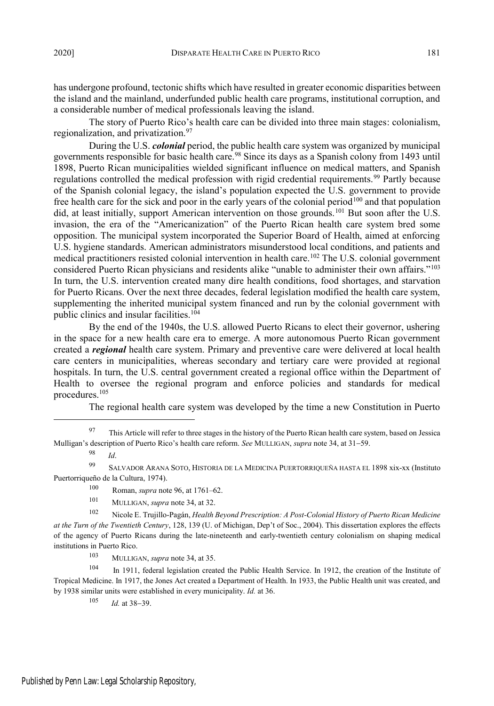has undergone profound, tectonic shifts which have resulted in greater economic disparities between the island and the mainland, underfunded public health care programs, institutional corruption, and a considerable number of medical professionals leaving the island.

The story of Puerto Rico's health care can be divided into three main stages: colonialism, regionalization, and privatization.<sup>97</sup>

During the U.S. *colonial* period, the public health care system was organized by municipal governments responsible for basic health care.<sup>98</sup> Since its days as a Spanish colony from 1493 until 1898, Puerto Rican municipalities wielded significant influence on medical matters, and Spanish regulations controlled the medical profession with rigid credential requirements.<sup>99</sup> Partly because of the Spanish colonial legacy, the island's population expected the U.S. government to provide free health care for the sick and poor in the early years of the colonial period<sup>100</sup> and that population did, at least initially, support American intervention on those grounds.<sup>101</sup> But soon after the U.S. invasion, the era of the "Americanization" of the Puerto Rican health care system bred some opposition. The municipal system incorporated the Superior Board of Health, aimed at enforcing U.S. hygiene standards. American administrators misunderstood local conditions, and patients and medical practitioners resisted colonial intervention in health care.<sup>102</sup> The U.S. colonial government considered Puerto Rican physicians and residents alike "unable to administer their own affairs."<sup>103</sup> In turn, the U.S. intervention created many dire health conditions, food shortages, and starvation for Puerto Ricans. Over the next three decades, federal legislation modified the health care system, supplementing the inherited municipal system financed and run by the colonial government with public clinics and insular facilities.<sup>104</sup>

By the end of the 1940s, the U.S. allowed Puerto Ricans to elect their governor, ushering in the space for a new health care era to emerge. A more autonomous Puerto Rican government created a *regional* health care system. Primary and preventive care were delivered at local health care centers in municipalities, whereas secondary and tertiary care were provided at regional hospitals. In turn, the U.S. central government created a regional office within the Department of Health to oversee the regional program and enforce policies and standards for medical procedures.<sup>105</sup>

The regional health care system was developed by the time a new Constitution in Puerto

<sup>103</sup> MULLIGAN, *supra* note 34, at 35.

<sup>104</sup> In 1911, federal legislation created the Public Health Service. In 1912, the creation of the Institute of Tropical Medicine. In 1917, the Jones Act created a Department of Health. In 1933, the Public Health unit was created, and by 1938 similar units were established in every municipality. *Id.* at 36.

 $105$  *Id.* at 38–39.

<sup>&</sup>lt;sup>97</sup> This Article will refer to three stages in the history of the Puerto Rican health care system, based on Jessica Mulligan's description of Puerto Rico's health care reform. *See* MULLIGAN, *supra* note 34, at 31–59.

<sup>98</sup> *Id*.

<sup>99</sup> SALVADOR ARANA SOTO, HISTORIA DE LA MEDICINA PUERTORRIQUEÑA HASTA EL 1898 xix-xx (Instituto Puertorriqueño de la Cultura, 1974).

<sup>100</sup> Roman, *supra* note 96, at 1761–62.

<sup>101</sup> MULLIGAN, *supra* note 34, at 32.

<sup>102</sup> Nicole E. Trujillo-Pagán, *Health Beyond Prescription: A Post-Colonial History of Puerto Rican Medicine at the Turn of the Twentieth Century*, 128, 139 (U. of Michigan, Dep't of Soc., 2004). This dissertation explores the effects of the agency of Puerto Ricans during the late-nineteenth and early-twentieth century colonialism on shaping medical institutions in Puerto Rico.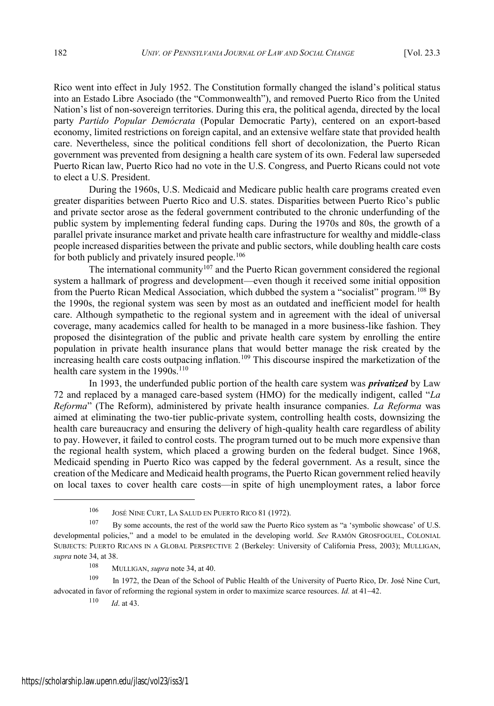Rico went into effect in July 1952. The Constitution formally changed the island's political status into an Estado Libre Asociado (the "Commonwealth"), and removed Puerto Rico from the United Nation's list of non-sovereign territories. During this era, the political agenda, directed by the local party *Partido Popular Demócrata* (Popular Democratic Party), centered on an export-based economy, limited restrictions on foreign capital, and an extensive welfare state that provided health care. Nevertheless, since the political conditions fell short of decolonization, the Puerto Rican government was prevented from designing a health care system of its own. Federal law superseded Puerto Rican law, Puerto Rico had no vote in the U.S. Congress, and Puerto Ricans could not vote to elect a U.S. President.

During the 1960s, U.S. Medicaid and Medicare public health care programs created even greater disparities between Puerto Rico and U.S. states. Disparities between Puerto Rico's public and private sector arose as the federal government contributed to the chronic underfunding of the public system by implementing federal funding caps. During the 1970s and 80s, the growth of a parallel private insurance market and private health care infrastructure for wealthy and middle-class people increased disparities between the private and public sectors, while doubling health care costs for both publicly and privately insured people.<sup>106</sup>

The international community<sup>107</sup> and the Puerto Rican government considered the regional system a hallmark of progress and development—even though it received some initial opposition from the Puerto Rican Medical Association, which dubbed the system a "socialist" program.<sup>108</sup> By the 1990s, the regional system was seen by most as an outdated and inefficient model for health care. Although sympathetic to the regional system and in agreement with the ideal of universal coverage, many academics called for health to be managed in a more business-like fashion. They proposed the disintegration of the public and private health care system by enrolling the entire population in private health insurance plans that would better manage the risk created by the increasing health care costs outpacing inflation.<sup>109</sup> This discourse inspired the marketization of the health care system in the 1990s.<sup>110</sup>

In 1993, the underfunded public portion of the health care system was *privatized* by Law 72 and replaced by a managed care-based system (HMO) for the medically indigent, called "*La Reforma*" (The Reform), administered by private health insurance companies. *La Reforma* was aimed at eliminating the two-tier public-private system, controlling health costs, downsizing the health care bureaucracy and ensuring the delivery of high-quality health care regardless of ability to pay. However, it failed to control costs. The program turned out to be much more expensive than the regional health system, which placed a growing burden on the federal budget. Since 1968, Medicaid spending in Puerto Rico was capped by the federal government. As a result, since the creation of the Medicare and Medicaid health programs, the Puerto Rican government relied heavily on local taxes to cover health care costs—in spite of high unemployment rates, a labor force

<sup>108</sup> MULLIGAN, *supra* note 34, at 40.

<sup>109</sup> In 1972, the Dean of the School of Public Health of the University of Puerto Rico, Dr. José Nine Curt, advocated in favor of reforming the regional system in order to maximize scarce resources. *Id.* at 41–42.

<sup>110</sup> *Id*. at 43.

<sup>106</sup> JOSÉ NINE CURT, L<sup>A</sup> SALUD EN PUERTO RICO 81 (1972).

<sup>107</sup> By some accounts, the rest of the world saw the Puerto Rico system as "a 'symbolic showcase' of U.S. developmental policies," and a model to be emulated in the developing world. *See* RAMÓN GROSFOGUEL, COLONIAL SUBJECTS: PUERTO RICANS IN A GLOBAL PERSPECTIVE 2 (Berkeley: University of California Press, 2003); MULLIGAN, *supra* note 34, at 38.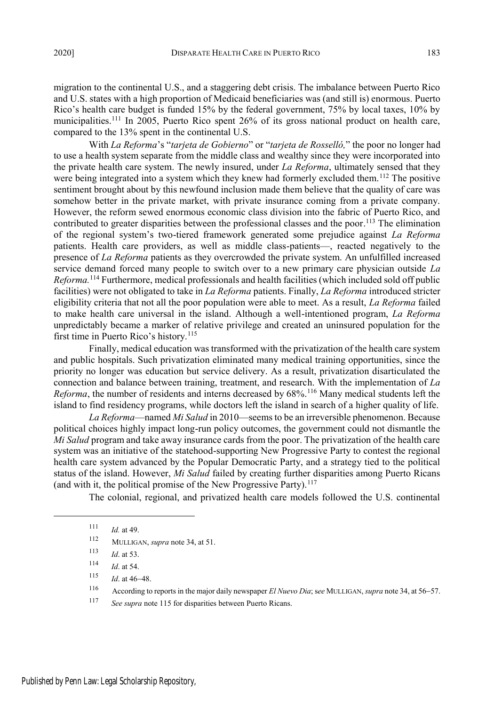migration to the continental U.S., and a staggering debt crisis. The imbalance between Puerto Rico and U.S. states with a high proportion of Medicaid beneficiaries was (and still is) enormous. Puerto Rico's health care budget is funded 15% by the federal government, 75% by local taxes, 10% by municipalities.<sup>111</sup> In 2005, Puerto Rico spent 26% of its gross national product on health care, compared to the 13% spent in the continental U.S.

With *La Reforma*'s "*tarjeta de Gobierno*" or "*tarjeta de Rosselló,*" the poor no longer had to use a health system separate from the middle class and wealthy since they were incorporated into the private health care system. The newly insured, under *La Reforma*, ultimately sensed that they were being integrated into a system which they knew had formerly excluded them.<sup>112</sup> The positive sentiment brought about by this newfound inclusion made them believe that the quality of care was somehow better in the private market, with private insurance coming from a private company. However, the reform sewed enormous economic class division into the fabric of Puerto Rico, and contributed to greater disparities between the professional classes and the poor.<sup>113</sup> The elimination of the regional system's two-tiered framework generated some prejudice against *La Reforma* patients. Health care providers, as well as middle class-patients—, reacted negatively to the presence of *La Reforma* patients as they overcrowded the private system. An unfulfilled increased service demand forced many people to switch over to a new primary care physician outside *La Reforma.*<sup>114</sup> Furthermore, medical professionals and health facilities (which included sold off public facilities) were not obligated to take in *La Reforma* patients. Finally, *La Reforma* introduced stricter eligibility criteria that not all the poor population were able to meet. As a result, *La Reforma* failed to make health care universal in the island. Although a well-intentioned program, *La Reforma* unpredictably became a marker of relative privilege and created an uninsured population for the first time in Puerto Rico's history.<sup>115</sup>

Finally, medical education was transformed with the privatization of the health care system and public hospitals. Such privatization eliminated many medical training opportunities, since the priority no longer was education but service delivery. As a result, privatization disarticulated the connection and balance between training, treatment, and research. With the implementation of *La Reforma*, the number of residents and interns decreased by 68%.<sup>116</sup> Many medical students left the island to find residency programs, while doctors left the island in search of a higher quality of life.

*La Reforma*—named *Mi Salud* in 2010—seemsto be an irreversible phenomenon. Because political choices highly impact long-run policy outcomes, the government could not dismantle the *Mi Salud* program and take away insurance cards from the poor. The privatization of the health care system was an initiative of the statehood-supporting New Progressive Party to contest the regional health care system advanced by the Popular Democratic Party, and a strategy tied to the political status of the island. However, *Mi Salud* failed by creating further disparities among Puerto Ricans (and with it, the political promise of the New Progressive Party).<sup>117</sup>

The colonial, regional, and privatized health care models followed the U.S. continental

- $115$  *Id.* at 46-48.
- 116 According to reports in the major daily newspaper *El Nuevo Dia*; see MULLIGAN, *supra* note 34, at 56–57.
- <sup>117</sup> *See supra* note 115 for disparities between Puerto Ricans.

<sup>111</sup> *Id.* at 49.

<sup>112</sup> MULLIGAN, *supra* note 34, at 51.

<sup>113</sup> *Id*. at 53.

<sup>114</sup> *Id*. at 54.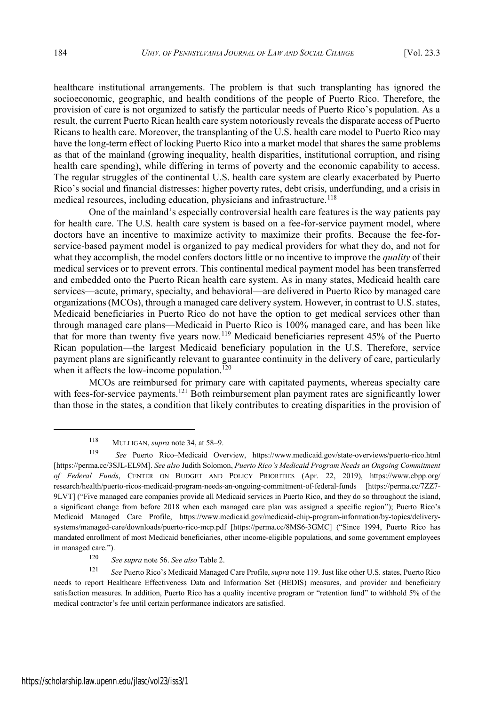healthcare institutional arrangements. The problem is that such transplanting has ignored the socioeconomic, geographic, and health conditions of the people of Puerto Rico. Therefore, the provision of care is not organized to satisfy the particular needs of Puerto Rico's population. As a result, the current Puerto Rican health care system notoriously reveals the disparate access of Puerto Ricans to health care. Moreover, the transplanting of the U.S. health care model to Puerto Rico may have the long-term effect of locking Puerto Rico into a market model that shares the same problems as that of the mainland (growing inequality, health disparities, institutional corruption, and rising health care spending), while differing in terms of poverty and the economic capability to access. The regular struggles of the continental U.S. health care system are clearly exacerbated by Puerto Rico's social and financial distresses: higher poverty rates, debt crisis, underfunding, and a crisis in medical resources, including education, physicians and infrastructure.<sup>118</sup>

One of the mainland's especially controversial health care features is the way patients pay for health care. The U.S. health care system is based on a fee-for-service payment model, where doctors have an incentive to maximize activity to maximize their profits. Because the fee-forservice-based payment model is organized to pay medical providers for what they do, and not for what they accomplish, the model confers doctors little or no incentive to improve the *quality* of their medical services or to prevent errors. This continental medical payment model has been transferred and embedded onto the Puerto Rican health care system. As in many states, Medicaid health care services—acute, primary, specialty, and behavioral—are delivered in Puerto Rico by managed care organizations (MCOs), through a managed care delivery system. However, in contrast to U.S. states, Medicaid beneficiaries in Puerto Rico do not have the option to get medical services other than through managed care plans—Medicaid in Puerto Rico is 100% managed care, and has been like that for more than twenty five years now.<sup>119</sup> Medicaid beneficiaries represent 45% of the Puerto Rican population—the largest Medicaid beneficiary population in the U.S. Therefore, service payment plans are significantly relevant to guarantee continuity in the delivery of care, particularly when it affects the low-income population.<sup>120</sup>

MCOs are reimbursed for primary care with capitated payments, whereas specialty care with fees-for-service payments.<sup>121</sup> Both reimbursement plan payment rates are significantly lower than those in the states, a condition that likely contributes to creating disparities in the provision of

<sup>118</sup> MULLIGAN, *supra* note 34, at 58–9.

<sup>119</sup> *See* Puerto Rico–Medicaid Overview, https://www.medicaid.gov/state-overviews/puerto-rico.html [https://perma.cc/3SJL-EL9M]. *See also* Judith Solomon, *Puerto Rico's Medicaid Program Needs an Ongoing Commitment of Federal Funds*, CENTER ON BUDGET AND POLICY PRIORITIES (Apr. 22, 2019), https://www.cbpp.org/ research/health/puerto-ricos-medicaid-program-needs-an-ongoing-commitment-of-federal-funds [https://perma.cc/7ZZ7- 9LVT] ("Five managed care companies provide all Medicaid services in Puerto Rico, and they do so throughout the island, a significant change from before 2018 when each managed care plan was assigned a specific region"); Puerto Rico's Medicaid Managed Care Profile, https://www.medicaid.gov/medicaid-chip-program-information/by-topics/deliverysystems/managed-care/downloads/puerto-rico-mcp.pdf [https://perma.cc/8MS6-3GMC] ("Since 1994, Puerto Rico has mandated enrollment of most Medicaid beneficiaries, other income-eligible populations, and some government employees in managed care.").

<sup>120</sup> *See supra* note 56. *See also* Table 2.

<sup>121</sup> *See* Puerto Rico's Medicaid Managed Care Profile, *supra* note 119. Just like other U.S. states, Puerto Rico needs to report Healthcare Effectiveness Data and Information Set (HEDIS) measures, and provider and beneficiary satisfaction measures. In addition, Puerto Rico has a quality incentive program or "retention fund" to withhold 5% of the medical contractor's fee until certain performance indicators are satisfied.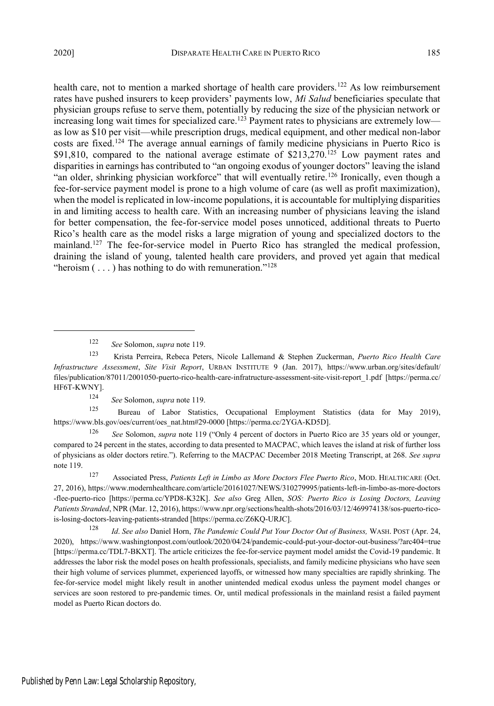health care, not to mention a marked shortage of health care providers.<sup>122</sup> As low reimbursement rates have pushed insurers to keep providers' payments low, *Mi Salud* beneficiaries speculate that physician groups refuse to serve them, potentially by reducing the size of the physician network or increasing long wait times for specialized care.<sup>123</sup> Payment rates to physicians are extremely low as low as \$10 per visit—while prescription drugs, medical equipment, and other medical non-labor costs are fixed.<sup>124</sup> The average annual earnings of family medicine physicians in Puerto Rico is \$91,810, compared to the national average estimate of  $$213,270$ .<sup>125</sup> Low payment rates and disparities in earnings has contributed to "an ongoing exodus of younger doctors" leaving the island "an older, shrinking physician workforce" that will eventually retire.<sup>126</sup> Ironically, even though a fee-for-service payment model is prone to a high volume of care (as well as profit maximization), when the model is replicated in low-income populations, it is accountable for multiplying disparities in and limiting access to health care. With an increasing number of physicians leaving the island for better compensation, the fee-for-service model poses unnoticed, additional threats to Puerto Rico's health care as the model risks a large migration of young and specialized doctors to the mainland.<sup>127</sup> The fee-for-service model in Puerto Rico has strangled the medical profession, draining the island of young, talented health care providers, and proved yet again that medical "heroism  $(\ldots)$  has nothing to do with remuneration."<sup>128</sup>

<sup>124</sup> *See* Solomon, *supra* note 119.

<sup>125</sup> Bureau of Labor Statistics, Occupational Employment Statistics (data for May 2019), https://www.bls.gov/oes/current/oes\_nat.htm#29-0000 [https://perma.cc/2YGA-KD5D].

<sup>126</sup> *See* Solomon, *supra* note 119 ("Only 4 percent of doctors in Puerto Rico are 35 years old or younger, compared to 24 percent in the states, according to data presented to MACPAC, which leaves the island at risk of further loss of physicians as older doctors retire."). Referring to the MACPAC December 2018 Meeting Transcript, at 268. *See supra* note 119.

<sup>127</sup> Associated Press, *Patients Left in Limbo as More Doctors Flee Puerto Rico*, MOD. HEALTHCARE (Oct. 27, 2016), https://www.modernhealthcare.com/article/20161027/NEWS/310279995/patients-left-in-limbo-as-more-doctors -flee-puerto-rico [https://perma.cc/YPD8-K32K]. *See also* Greg Allen, *SOS: Puerto Rico is Losing Doctors, Leaving Patients Stranded*, NPR (Mar. 12, 2016), https://www.npr.org/sections/health-shots/2016/03/12/469974138/sos-puerto-ricois-losing-doctors-leaving-patients-stranded [https://perma.cc/Z6KQ-URJC].

<sup>128</sup> *Id*. *See also* Daniel Horn, *The Pandemic Could Put Your Doctor Out of Business,* WASH. POST (Apr. 24, 2020), https://www.washingtonpost.com/outlook/2020/04/24/pandemic-could-put-your-doctor-out-business/?arc404=true [https://perma.cc/TDL7-BKXT]. The article criticizes the fee-for-service payment model amidst the Covid-19 pandemic. It addresses the labor risk the model poses on health professionals, specialists, and family medicine physicians who have seen their high volume of services plummet, experienced layoffs, or witnessed how many specialties are rapidly shrinking. The fee-for-service model might likely result in another unintended medical exodus unless the payment model changes or services are soon restored to pre-pandemic times. Or, until medical professionals in the mainland resist a failed payment model as Puerto Rican doctors do.

<sup>122</sup> *See* Solomon, *supra* note 119.

<sup>123</sup> Krista Perreira, Rebeca Peters, Nicole Lallemand & Stephen Zuckerman, *Puerto Rico Health Care Infrastructure Assessment*, *Site Visit Report*, URBAN INSTITUTE 9 (Jan. 2017), https://www.urban.org/sites/default/ files/publication/87011/2001050-puerto-rico-health-care-infratructure-assessment-site-visit-report\_1.pdf [https://perma.cc/ HF6T-KWNY].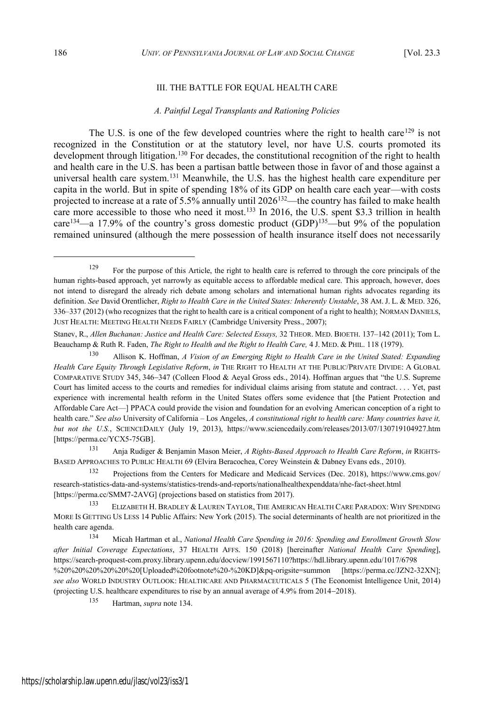## III. THE BATTLE FOR EQUAL HEALTH CARE

#### *A. Painful Legal Transplants and Rationing Policies*

The U.S. is one of the few developed countries where the right to health care<sup>129</sup> is not recognized in the Constitution or at the statutory level, nor have U.S. courts promoted its development through litigation.<sup>130</sup> For decades, the constitutional recognition of the right to health and health care in the U.S. has been a partisan battle between those in favor of and those against a universal health care system.<sup>131</sup> Meanwhile, the U.S. has the highest health care expenditure per capita in the world. But in spite of spending 18% of its GDP on health care each year—with costs projected to increase at a rate of 5.5% annually until 2026<sup>132</sup>—the country has failed to make health care more accessible to those who need it most.<sup>133</sup> In 2016, the U.S. spent \$3.3 trillion in health care<sup>134</sup>—a 17.9% of the country's gross domestic product (GDP)<sup>135</sup>—but 9% of the population remained uninsured (although the mere possession of health insurance itself does not necessarily

<sup>131</sup> Anja Rudiger & Benjamin Mason Meier, *A Rights-Based Approach to Health Care Reform*, *in* RIGHTS-BASED APPROACHES TO PUBLIC HEALTH 69 (Elvira Beracochea, Corey Weinstein & Dabney Evans eds., 2010).

<sup>132</sup> Projections from the Centers for Medicare and Medicaid Services (Dec. 2018), https://www.cms.gov/ research-statistics-data-and-systems/statistics-trends-and-reports/nationalhealthexpenddata/nhe-fact-sheet.html [https://perma.cc/SMM7-2AVG] (projections based on statistics from 2017).

<sup>135</sup> Hartman, *supra* note 134.

 $129$  For the purpose of this Article, the right to health care is referred to through the core principals of the human rights-based approach, yet narrowly as equitable access to affordable medical care. This approach, however, does not intend to disregard the already rich debate among scholars and international human rights advocates regarding its definition. *See* David Orentlicher, *Right to Health Care in the United States: Inherently Unstable*, 38 AM. J. L. & MED. 326, 336–337 (2012) (who recognizes that the right to health care is a critical component of a right to health); NORMAN DANIELS, JUST HEALTH: MEETING HEALTH NEEDS FAIRLY (Cambridge University Press., 2007);

Stanev, R., *Allen Buchanan: Justice and Health Care: Selected Essays,* 32 THEOR. MED. BIOETH. 137–142 (2011); Tom L. Beauchamp & Ruth R. Faden, *The Right to Health and the Right to Health Care,* 4 J. MED. & PHIL. 118 (1979).

<sup>130</sup> Allison K. Hoffman, *A Vision of an Emerging Right to Health Care in the United Stated: Expanding Health Care Equity Through Legislative Reform*, *in* THE RIGHT TO HEALTH AT THE PUBLIC/PRIVATE DIVIDE: A GLOBAL COMPARATIVE STUDY 345, 346-347 (Colleen Flood & Aeyal Gross eds., 2014). Hoffman argues that "the U.S. Supreme Court has limited access to the courts and remedies for individual claims arising from statute and contract. . . . Yet, past experience with incremental health reform in the United States offers some evidence that [the Patient Protection and Affordable Care Act—] PPACA could provide the vision and foundation for an evolving American conception of a right to health care." *See also* University of California – Los Angeles, *A constitutional right to health care: Many countries have it, but not the U.S.*, SCIENCEDAILY (July 19, 2013), https://www.sciencedaily.com/releases/2013/07/130719104927.htm [https://perma.cc/YCX5-75GB].

<sup>133</sup> ELIZABETH H. BRADLEY & LAUREN TAYLOR, THE AMERICAN HEALTH CARE PARADOX: WHY SPENDING MORE IS GETTING US LESS 14 Public Affairs: New York (2015). The social determinants of health are not prioritized in the health care agenda.

<sup>134</sup> Micah Hartman et al., *National Health Care Spending in 2016: Spending and Enrollment Growth Slow after Initial Coverage Expectations*, 37 HEALTH AFFS. 150 (2018) [hereinafter *National Health Care Spending*], https://search-proquest-com.proxy.library.upenn.edu/docview/1991567110?https://hdl.library.upenn.edu/1017/6798 %20%20%20%20%20%20[Uploaded%20footnote%20-%20KD]&pq-origsite=summon [https://perma.cc/JZN2-32XN]; *see also* WORLD INDUSTRY OUTLOOK: HEALTHCARE AND PHARMACEUTICALS 5 (The Economist Intelligence Unit, 2014) (projecting U.S. healthcare expenditures to rise by an annual average of  $4.9\%$  from  $2014-2018$ ).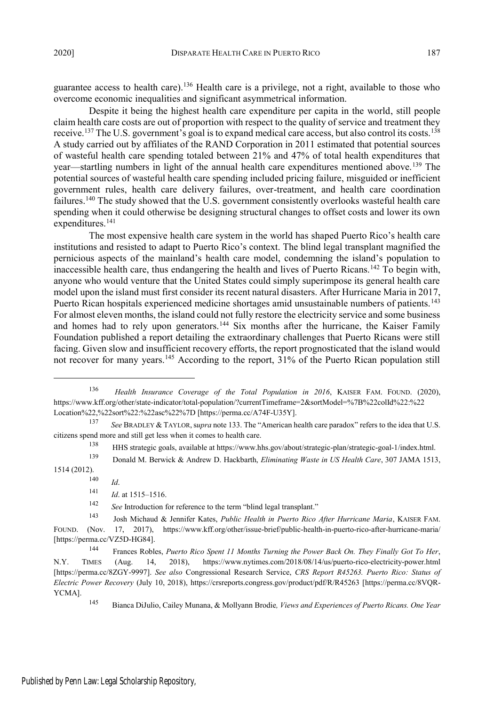guarantee access to health care).<sup>136</sup> Health care is a privilege, not a right, available to those who overcome economic inequalities and significant asymmetrical information.

Despite it being the highest health care expenditure per capita in the world, still people claim health care costs are out of proportion with respect to the quality of service and treatment they receive.<sup>137</sup> The U.S. government's goal is to expand medical care access, but also control its costs.<sup>138</sup> A study carried out by affiliates of the RAND Corporation in 2011 estimated that potential sources of wasteful health care spending totaled between 21% and 47% of total health expenditures that year—startling numbers in light of the annual health care expenditures mentioned above.<sup>139</sup> The potential sources of wasteful health care spending included pricing failure, misguided or inefficient government rules, health care delivery failures, over-treatment, and health care coordination failures.<sup>140</sup> The study showed that the U.S. government consistently overlooks wasteful health care spending when it could otherwise be designing structural changes to offset costs and lower its own expenditures.<sup>141</sup>

The most expensive health care system in the world has shaped Puerto Rico's health care institutions and resisted to adapt to Puerto Rico's context. The blind legal transplant magnified the pernicious aspects of the mainland's health care model, condemning the island's population to inaccessible health care, thus endangering the health and lives of Puerto Ricans.<sup>142</sup> To begin with, anyone who would venture that the United States could simply superimpose its general health care model upon the island must first consider its recent natural disasters. After Hurricane Maria in 2017, Puerto Rican hospitals experienced medicine shortages amid unsustainable numbers of patients.<sup>143</sup> For almost eleven months, the island could not fully restore the electricity service and some business and homes had to rely upon generators.<sup>144</sup> Six months after the hurricane, the Kaiser Family Foundation published a report detailing the extraordinary challenges that Puerto Ricans were still facing. Given slow and insufficient recovery efforts, the report prognosticated that the island would not recover for many years.<sup>145</sup> According to the report, 31% of the Puerto Rican population still

<sup>140</sup> *Id*.

<sup>142</sup> *See* Introduction for reference to the term "blind legal transplant."

<sup>143</sup> Josh Michaud & Jennifer Kates, *Public Health in Puerto Rico After Hurricane Maria*, KAISER FAM. FOUND. (Nov. 17, 2017), https://www.kff.org/other/issue-brief/public-health-in-puerto-rico-after-hurricane-maria/ [https://perma.cc/VZ5D-HG84].

<sup>136</sup> *Health Insurance Coverage of the Total Population in 2016*, KAISER FAM. FOUND. (2020), https://www.kff.org/other/state-indicator/total-population/?currentTimeframe=2&sortModel=%7B%22colId%22:%22 Location%22,%22sort%22:%22asc%22%7D [https://perma.cc/A74F-U35Y].

<sup>137</sup> *See* BRADLEY & TAYLOR,s*upra* note 133. The "American health care paradox" refers to the idea that U.S. citizens spend more and still get less when it comes to health care.

<sup>138</sup> HHS strategic goals, available at https://www.hhs.gov/about/strategic-plan/strategic-goal-1/index.html.

<sup>139</sup> Donald M. Berwick & Andrew D. Hackbarth, *Eliminating Waste in US Health Care*, 307 JAMA 1513, 1514 (2012).

<sup>141</sup> *Id*. at 1515–1516.

<sup>144</sup> Frances Robles, *Puerto Rico Spent 11 Months Turning the Power Back On. They Finally Got To Her*, N.Y. TIMES (Aug. 14, 2018), https://www.nytimes.com/2018/08/14/us/puerto-rico-electricity-power.html [https://perma.cc/8ZGY-9997]. *See also* Congressional Research Service, *CRS Report R45263. Puerto Rico: Status of Electric Power Recovery* (July 10, 2018), https://crsreports.congress.gov/product/pdf/R/R45263 [https://perma.cc/8VQR-YCMA].

<sup>145</sup> Bianca DiJulio, Cailey Munana, & Mollyann Brodie*, Views and Experiences of Puerto Ricans. One Year*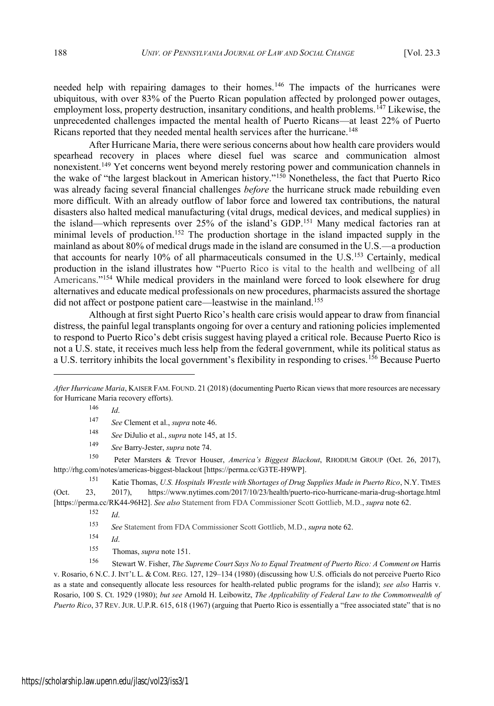needed help with repairing damages to their homes.<sup>146</sup> The impacts of the hurricanes were ubiquitous, with over 83% of the Puerto Rican population affected by prolonged power outages, employment loss, property destruction, insanitary conditions, and health problems.<sup>147</sup> Likewise, the unprecedented challenges impacted the mental health of Puerto Ricans—at least 22% of Puerto Ricans reported that they needed mental health services after the hurricane.<sup>148</sup>

After Hurricane Maria, there were serious concerns about how health care providers would spearhead recovery in places where diesel fuel was scarce and communication almost nonexistent.<sup>149</sup> Yet concerns went beyond merely restoring power and communication channels in the wake of "the largest blackout in American history."<sup>150</sup> Nonetheless, the fact that Puerto Rico was already facing several financial challenges *before* the hurricane struck made rebuilding even more difficult. With an already outflow of labor force and lowered tax contributions, the natural disasters also halted medical manufacturing (vital drugs, medical devices, and medical supplies) in the island—which represents over 25% of the island's GDP.<sup>151</sup> Many medical factories ran at minimal levels of production.<sup>152</sup> The production shortage in the island impacted supply in the mainland as about 80% of medical drugs made in the island are consumed in the U.S.—a production that accounts for nearly 10% of all pharmaceuticals consumed in the U.S.<sup>153</sup> Certainly, medical production in the island illustrates how "Puerto Rico is vital to the health and wellbeing of all Americans."<sup>154</sup> While medical providers in the mainland were forced to look elsewhere for drug alternatives and educate medical professionals on new procedures, pharmacists assured the shortage did not affect or postpone patient care—leastwise in the mainland.<sup>155</sup>

Although at first sight Puerto Rico's health care crisis would appear to draw from financial distress, the painful legal transplants ongoing for over a century and rationing policies implemented to respond to Puerto Rico's debt crisis suggest having played a critical role. Because Puerto Rico is not a U.S. state, it receives much less help from the federal government, while its political status as a U.S. territory inhibits the local government's flexibility in responding to crises.<sup>156</sup> Because Puerto

<sup>150</sup> Peter Marsters & Trevor Houser, *America's Biggest Blackout*, RHODIUM GROUP (Oct. 26, 2017), http://rhg.com/notes/americas-biggest-blackout [https://perma.cc/G3TE-H9WP].

<sup>151</sup> Katie Thomas, *U.S. Hospitals Wrestle with Shortages of Drug Supplies Made in Puerto Rico*, N.Y. TIMES (Oct. 23, 2017), https://www.nytimes.com/2017/10/23/health/puerto-rico-hurricane-maria-drug-shortage.html [https://perma.cc/RK44-96H2]. *See also* Statement from FDA Commissioner Scott Gottlieb, M.D., *supra* note 62.

<sup>152</sup> *Id*.

<sup>153</sup> *See* Statement from FDA Commissioner Scott Gottlieb, M.D., *supra* note 62.

- <sup>154</sup> *Id*.
- <sup>155</sup> Thomas, *supra* note 151.

<sup>156</sup> Stewart W. Fisher, *The Supreme Court Says No to Equal Treatment of Puerto Rico: A Comment on* Harris v. Rosario, 6 N.C. J. INT'L L. & COM. REG. 127, 129–134 (1980) (discussing how U.S. officials do not perceive Puerto Rico as a state and consequently allocate less resources for health-related public programs for the island); *see also* Harris v. Rosario, 100 S. Ct. 1929 (1980); *but see* Arnold H. Leibowitz, *The Applicability of Federal Law to the Commonwealth of Puerto Rico*, 37 REV. JUR. U.P.R. 615, 618 (1967) (arguing that Puerto Rico is essentially a "free associated state" that is no

*After Hurricane Maria*, KAISER FAM. FOUND. 21 (2018) (documenting Puerto Rican views that more resources are necessary for Hurricane Maria recovery efforts).

<sup>146</sup> *Id*.

<sup>147</sup> *See* Clement et al., *supra* note 46.

<sup>148</sup> *See* DiJulio et al., *supra* note 145, at 15.

<sup>149</sup> *See* Barry-Jester, *supra* note 74.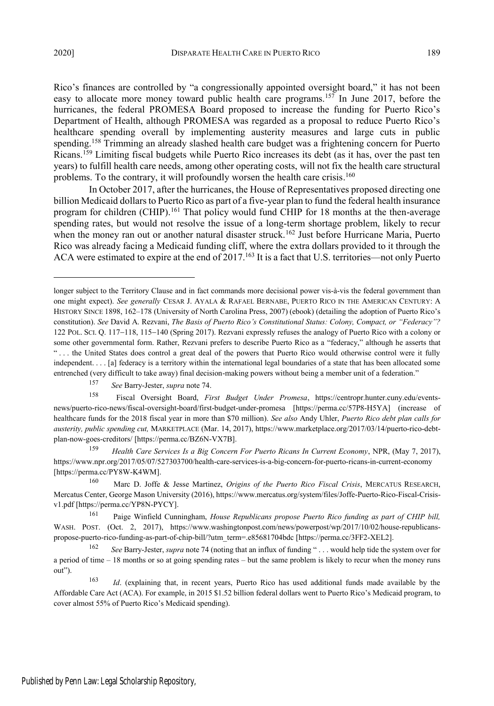Rico's finances are controlled by "a congressionally appointed oversight board," it has not been easy to allocate more money toward public health care programs.<sup>157</sup> In June 2017, before the hurricanes, the federal PROMESA Board proposed to increase the funding for Puerto Rico's Department of Health, although PROMESA was regarded as a proposal to reduce Puerto Rico's healthcare spending overall by implementing austerity measures and large cuts in public spending.<sup>158</sup> Trimming an already slashed health care budget was a frightening concern for Puerto Ricans.<sup>159</sup> Limiting fiscal budgets while Puerto Rico increases its debt (as it has, over the past ten years) to fulfill health care needs, among other operating costs, will not fix the health care structural problems. To the contrary, it will profoundly worsen the health care crisis.<sup>160</sup>

In October 2017, after the hurricanes, the House of Representatives proposed directing one billion Medicaid dollars to Puerto Rico as part of a five-year plan to fund the federal health insurance program for children (CHIP).<sup>161</sup> That policy would fund CHIP for 18 months at the then-average spending rates, but would not resolve the issue of a long-term shortage problem, likely to recur when the money ran out or another natural disaster struck.<sup>162</sup> Just before Hurricane Maria, Puerto Rico was already facing a Medicaid funding cliff, where the extra dollars provided to it through the ACA were estimated to expire at the end of 2017.<sup>163</sup> It is a fact that U.S. territories—not only Puerto

longer subject to the Territory Clause and in fact commands more decisional power vis-à-vis the federal government than one might expect). *See generally* CESAR J. AYALA & RAFAEL BERNABE, PUERTO RICO IN THE AMERICAN CENTURY: A HISTORY SINCE 1898, 162–178 (University of North Carolina Press, 2007) (ebook) (detailing the adoption of Puerto Rico's constitution). *See* David A. Rezvani, *The Basis of Puerto Rico's Constitutional Status: Colony, Compact, or "Federacy"?* 122 POL. SCI. Q. 117–118, 115–140 (Spring 2017). Rezvani expressly refuses the analogy of Puerto Rico with a colony or some other governmental form. Rather, Rezvani prefers to describe Puerto Rico as a "federacy," although he asserts that " . . . the United States does control a great deal of the powers that Puerto Rico would otherwise control were it fully independent. . . . [a] federacy is a territory within the international legal boundaries of a state that has been allocated some entrenched (very difficult to take away) final decision-making powers without being a member unit of a federation."

<sup>157</sup> *See* Barry-Jester, *supra* note 74.

<sup>158</sup> Fiscal Oversight Board, *First Budget Under Promesa*, https://centropr.hunter.cuny.edu/eventsnews/puerto-rico-news/fiscal-oversight-board/first-budget-under-promesa [https://perma.cc/57P8-H5YA] (increase of healthcare funds for the 2018 fiscal year in more than \$70 million). *See also* Andy Uhler, *Puerto Rico debt plan calls for austerity, public spending cut,* MARKETPLACE (Mar. 14, 2017), https://www.marketplace.org/2017/03/14/puerto-rico-debtplan-now-goes-creditors/ [https://perma.cc/BZ6N-VX7B].

<sup>159</sup> *Health Care Services Is a Big Concern For Puerto Ricans In Current Economy*, NPR, (May 7, 2017), https://www.npr.org/2017/05/07/527303700/health-care-services-is-a-big-concern-for-puerto-ricans-in-current-economy [https://perma.cc/PY8W-K4WM].

<sup>160</sup> Marc D. Joffe & Jesse Martinez, *Origins of the Puerto Rico Fiscal Crisis*, MERCATUS RESEARCH, Mercatus Center, George Mason University (2016), https://www.mercatus.org/system/files/Joffe-Puerto-Rico-Fiscal-Crisisv1.pdf [https://perma.cc/YP8N-PYCY].

<sup>161</sup> Paige Winfield Cunningham, *House Republicans propose Puerto Rico funding as part of CHIP bill,* WASH. POST. (Oct. 2, 2017), https://www.washingtonpost.com/news/powerpost/wp/2017/10/02/house-republicanspropose-puerto-rico-funding-as-part-of-chip-bill/?utm\_term=.e85681704bdc [https://perma.cc/3FF2-XEL2].

<sup>162</sup> *See* Barry-Jester, *supra* note 74 (noting that an influx of funding " . . . would help tide the system over for a period of time – 18 months or so at going spending rates – but the same problem is likely to recur when the money runs out").

<sup>163</sup> *Id*. (explaining that, in recent years, Puerto Rico has used additional funds made available by the Affordable Care Act (ACA). For example, in 2015 \$1.52 billion federal dollars went to Puerto Rico's Medicaid program, to cover almost 55% of Puerto Rico's Medicaid spending).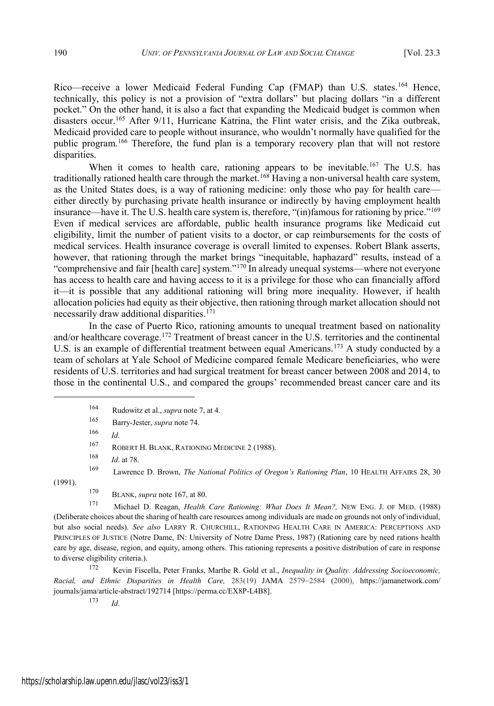Rico—receive a lower Medicaid Federal Funding Cap (FMAP) than U.S. states.<sup>164</sup> Hence, technically, this policy is not a provision of "extra dollars" but placing dollars "in a different pocket." On the other hand, it is also a fact that expanding the Medicaid budget is common when disasters occur.<sup>165</sup> After 9/11, Hurricane Katrina, the Flint water crisis, and the Zika outbreak, Medicaid provided care to people without insurance, who wouldn't normally have qualified for the public program.<sup>166</sup> Therefore, the fund plan is a temporary recovery plan that will not restore disparities.

When it comes to health care, rationing appears to be inevitable.<sup>167</sup> The U.S. has traditionally rationed health care through the market.<sup>168</sup> Having a non-universal health care system, as the United States does, is a way of rationing medicine: only those who pay for health care either directly by purchasing private health insurance or indirectly by having employment health insurance—have it. The U.S. health care system is, therefore, "(in)famous for rationing by price."<sup>169</sup> Even if medical services are affordable, public health insurance programs like Medicaid cut eligibility, limit the number of patient visits to a doctor, or cap reimbursements for the costs of medical services. Health insurance coverage is overall limited to expenses. Robert Blank asserts, however, that rationing through the market brings "inequitable, haphazard" results, instead of a "comprehensive and fair [health care] system."<sup>170</sup> In already unequal systems—where not everyone has access to health care and having access to it is a privilege for those who can financially afford it—it is possible that any additional rationing will bring more inequality. However, if health allocation policies had equity as their objective, then rationing through market allocation should not necessarily draw additional disparities.<sup>171</sup>

In the case of Puerto Rico, rationing amounts to unequal treatment based on nationality and/or healthcare coverage.<sup>172</sup> Treatment of breast cancer in the U.S. territories and the continental U.S. is an example of differential treatment between equal Americans.<sup>173</sup> A study conducted by a team of scholars at Yale School of Medicine compared female Medicare beneficiaries, who were residents of U.S. territories and had surgical treatment for breast cancer between 2008 and 2014, to those in the continental U.S., and compared the groups' recommended breast cancer care and its

<sup>167</sup> ROBERT H. BLANK, RATIONING MEDICINE 2 (1988).

<sup>168</sup> *Id*. at 78.

<sup>169</sup> Lawrence D. Brown, *The National Politics of Oregon's Rationing Plan*, 10 HEALTH AFFAIRS 28, 30 (1991).

<sup>170</sup> BLANK, *supra* note 167, at 80.

<sup>171</sup> Michael D. Reagan, *Health Care Rationing: What Does It Mean?,* NEW ENG. J. OF MED. (1988) (Deliberate choices about the sharing of health care resources among individuals are made on grounds not only of individual, but also social needs). *See also* LARRY R. CHURCHILL, RATIONING HEALTH CARE IN AMERICA: PERCEPTIONS AND PRINCIPLES OF JUSTICE (Notre Dame, IN: University of Notre Dame Press, 1987) (Rationing care by need rations health care by age, disease, region, and equity, among others. This rationing represents a positive distribution of care in response to diverse eligibility criteria.).

<sup>172</sup> Kevin Fiscella, Peter Franks, Marthe R. Gold et al., *Inequality in Quality. Addressing Socioeconomic, Racial, and Ethnic Disparities in Health Care,* 283(19) JAMA 25792584 (2000), https://jamanetwork.com/ journals/jama/article-abstract/192714 [https://perma.cc/EX8P-L4B8].

<sup>173</sup> *Id*.

<sup>164</sup> Rudowitz et al., *supra* note 7, at 4.

<sup>165</sup> Barry-Jester, *supra* note 74.

<sup>166</sup> *Id*.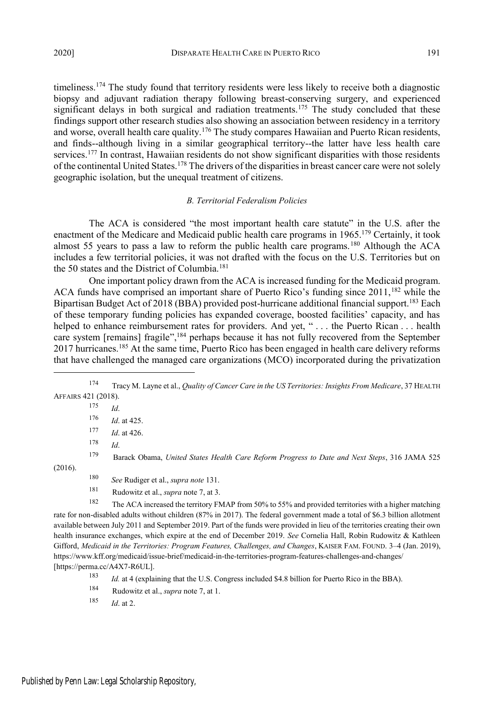timeliness.<sup>174</sup> The study found that territory residents were less likely to receive both a diagnostic biopsy and adjuvant radiation therapy following breast-conserving surgery, and experienced significant delays in both surgical and radiation treatments.<sup>175</sup> The study concluded that these findings support other research studies also showing an association between residency in a territory and worse, overall health care quality.<sup>176</sup> The study compares Hawaiian and Puerto Rican residents, and finds--although living in a similar geographical territory--the latter have less health care services.<sup>177</sup> In contrast, Hawaiian residents do not show significant disparities with those residents of the continental United States.<sup>178</sup> The drivers of the disparities in breast cancer care were not solely geographic isolation, but the unequal treatment of citizens.

## *B. Territorial Federalism Policies*

The ACA is considered "the most important health care statute" in the U.S. after the enactment of the Medicare and Medicaid public health care programs in 1965.<sup>179</sup> Certainly, it took almost 55 years to pass a law to reform the public health care programs.<sup>180</sup> Although the ACA includes a few territorial policies, it was not drafted with the focus on the U.S. Territories but on the 50 states and the District of Columbia.<sup>181</sup>

One important policy drawn from the ACA is increased funding for the Medicaid program. ACA funds have comprised an important share of Puerto Rico's funding since 2011,<sup>182</sup> while the Bipartisan Budget Act of 2018 (BBA) provided post-hurricane additional financial support.<sup>183</sup> Each of these temporary funding policies has expanded coverage, boosted facilities' capacity, and has helped to enhance reimbursement rates for providers. And yet, "... the Puerto Rican ... health care system [remains] fragile",<sup>184</sup> perhaps because it has not fully recovered from the September 2017 hurricanes.<sup>185</sup> At the same time, Puerto Rico has been engaged in health care delivery reforms that have challenged the managed care organizations (MCO) incorporated during the privatization

<sup>174</sup> Tracy M. Layne et al., *Quality of Cancer Care in the US Territories: Insights From Medicare*, 37 HEALTH AFFAIRS 421 (2018).

|         | 175 | Id.                                                                                                                           |
|---------|-----|-------------------------------------------------------------------------------------------------------------------------------|
|         | 176 | <i>Id.</i> at 425.                                                                                                            |
|         | 177 | <i>Id.</i> at 426.                                                                                                            |
|         | 178 | Id.                                                                                                                           |
|         | 179 | Barack Obama, United States Health Care Reform Progress to Date and Next Steps, 316 JAMA 525                                  |
| (2016). |     |                                                                                                                               |
|         | 180 | See Rudiger et al., supra note 131.                                                                                           |
|         | 181 | Rudowitz et al., <i>supra</i> note 7, at 3.                                                                                   |
|         | 182 | The ACA increased the territory FMAP from 50% to 55% and provided territories with a higher matching                          |
|         |     | rate for non-disabled adults without children (87% in 2017). The federal government made a total of \$6.3 billion allotment   |
|         |     | available between July 2011 and September 2019. Part of the funds were provided in lieu of the territories creating their own |

health insurance exchanges, which expire at the end of December 2019. *See* Cornelia Hall, Robin Rudowitz & Kathleen Gifford, *Medicaid in the Territories: Program Features, Challenges, and Changes*, KAISER FAM. FOUND. 3–4 (Jan. 2019), https://www.kff.org/medicaid/issue-brief/medicaid-in-the-territories-program-features-challenges-and-changes/ [https://perma.cc/A4X7-R6UL].

<sup>183</sup> *Id.* at 4 (explaining that the U.S. Congress included \$4.8 billion for Puerto Rico in the BBA).

<sup>184</sup> Rudowitz et al., *supra* note 7, at 1.

<sup>185</sup> *Id*. at 2.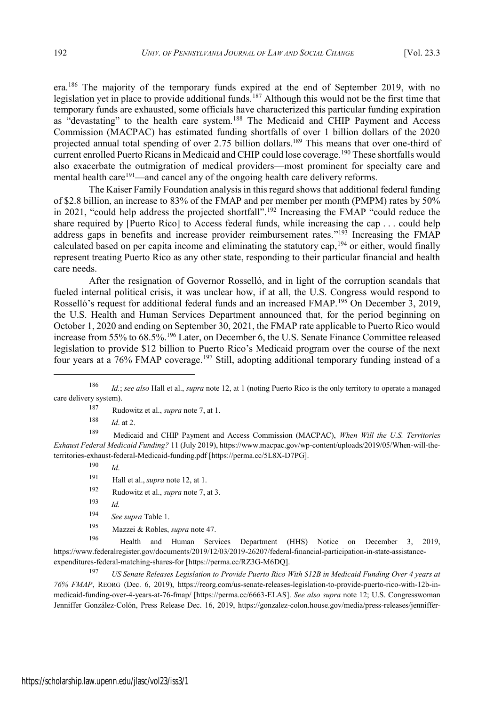era.<sup>186</sup> The majority of the temporary funds expired at the end of September 2019, with no legislation yet in place to provide additional funds.<sup>187</sup> Although this would not be the first time that temporary funds are exhausted, some officials have characterized this particular funding expiration as "devastating" to the health care system.<sup>188</sup> The Medicaid and CHIP Payment and Access Commission (MACPAC) has estimated funding shortfalls of over 1 billion dollars of the 2020 projected annual total spending of over 2.75 billion dollars.<sup>189</sup> This means that over one-third of current enrolled Puerto Ricans in Medicaid and CHIP could lose coverage.<sup>190</sup> These shortfalls would also exacerbate the outmigration of medical providers—most prominent for specialty care and mental health care<sup>191</sup>—and cancel any of the ongoing health care delivery reforms.

The Kaiser Family Foundation analysis in this regard shows that additional federal funding of \$2.8 billion, an increase to 83% of the FMAP and per member per month (PMPM) rates by 50% in 2021, "could help address the projected shortfall".<sup>192</sup> Increasing the FMAP "could reduce the share required by [Puerto Rico] to Access federal funds, while increasing the cap . . . could help address gaps in benefits and increase provider reimbursement rates."<sup>193</sup> Increasing the FMAP calculated based on per capita income and eliminating the statutory cap,  $^{194}$  or either, would finally represent treating Puerto Rico as any other state, responding to their particular financial and health care needs.

After the resignation of Governor Rosselló, and in light of the corruption scandals that fueled internal political crisis, it was unclear how, if at all, the U.S. Congress would respond to Rosselló's request for additional federal funds and an increased FMAP.<sup>195</sup> On December 3, 2019, the U.S. Health and Human Services Department announced that, for the period beginning on October 1, 2020 and ending on September 30, 2021, the FMAP rate applicable to Puerto Rico would increase from 55% to 68.5%.<sup>196</sup> Later, on December 6, the U.S. Senate Finance Committee released legislation to provide \$12 billion to Puerto Rico's Medicaid program over the course of the next four years at a 76% FMAP coverage.<sup>197</sup> Still, adopting additional temporary funding instead of a

<sup>187</sup> Rudowitz et al., *supra* note 7, at 1.

<sup>188</sup> *Id*. at 2.

<sup>189</sup> Medicaid and CHIP Payment and Access Commission (MACPAC), *When Will the U.S. Territories Exhaust Federal Medicaid Funding?* 11 (July 2019), https://www.macpac.gov/wp-content/uploads/2019/05/When-will-theterritories-exhaust-federal-Medicaid-funding.pdf [https://perma.cc/5L8X-D7PG].

<sup>190</sup> *Id*.

- <sup>192</sup> Rudowitz et al., *supra* note 7, at 3.
- <sup>193</sup> *Id.*
- <sup>194</sup> *See supra* Table 1.
- <sup>195</sup> Mazzei & Robles, *supra* note 47.

<sup>196</sup> Health and Human Services Department (HHS) Notice on December 3, 2019, https://www.federalregister.gov/documents/2019/12/03/2019-26207/federal-financial-participation-in-state-assistanceexpenditures-federal-matching-shares-for [https://perma.cc/RZ3G-M6DQ].

<sup>197</sup> *US Senate Releases Legislation to Provide Puerto Rico With \$12B in Medicaid Funding Over 4 years at 76% FMAP*, REORG (Dec. 6, 2019), https://reorg.com/us-senate-releases-legislation-to-provide-puerto-rico-with-12b-inmedicaid-funding-over-4-years-at-76-fmap/ [https://perma.cc/6663-ELAS]. *See also supra* note 12; U.S. Congresswoman Jenniffer González-Colón, Press Release Dec. 16, 2019, https://gonzalez-colon.house.gov/media/press-releases/jenniffer-

<sup>186</sup> *Id.*; *see also* Hall et al., *supra* note 12, at 1 (noting Puerto Rico is the only territory to operate a managed care delivery system).

<sup>191</sup> Hall et al., *supra* note 12, at 1.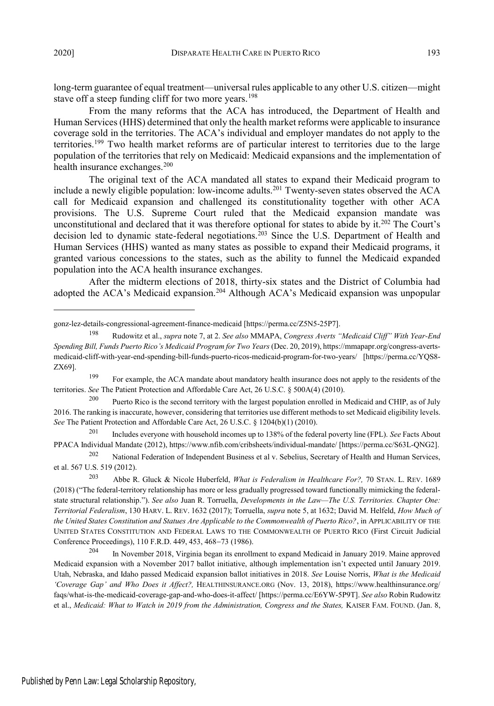long-term guarantee of equal treatment—universal rules applicable to any other U.S. citizen—might stave off a steep funding cliff for two more years.<sup>198</sup>

From the many reforms that the ACA has introduced, the Department of Health and Human Services(HHS) determined that only the health market reforms were applicable to insurance coverage sold in the territories. The ACA's individual and employer mandates do not apply to the territories.<sup>199</sup> Two health market reforms are of particular interest to territories due to the large population of the territories that rely on Medicaid: Medicaid expansions and the implementation of health insurance exchanges.<sup>200</sup>

The original text of the ACA mandated all states to expand their Medicaid program to include a newly eligible population: low-income adults.<sup>201</sup> Twenty-seven states observed the ACA call for Medicaid expansion and challenged its constitutionality together with other ACA provisions. The U.S. Supreme Court ruled that the Medicaid expansion mandate was unconstitutional and declared that it was therefore optional for states to abide by it.<sup>202</sup> The Court's decision led to dynamic state-federal negotiations.<sup>203</sup> Since the U.S. Department of Health and Human Services (HHS) wanted as many states as possible to expand their Medicaid programs, it granted various concessions to the states, such as the ability to funnel the Medicaid expanded population into the ACA health insurance exchanges.

After the midterm elections of 2018, thirty-six states and the District of Columbia had adopted the ACA's Medicaid expansion.<sup>204</sup> Although ACA's Medicaid expansion was unpopular

gonz-lez-details-congressional-agreement-finance-medicaid [https://perma.cc/Z5N5-25P7].

<sup>198</sup> Rudowitz et al., *supra* note 7, at 2. *See also* MMAPA, *Congress Averts "Medicaid Cliff" With Year-End Spending Bill, Funds Puerto Rico's Medicaid Program for Two Years* (Dec. 20, 2019), https://mmapapr.org/congress-avertsmedicaid-cliff-with-year-end-spending-bill-funds-puerto-ricos-medicaid-program-for-two-years/ [https://perma.cc/YQS8- ZX69].

<sup>&</sup>lt;sup>199</sup> For example, the ACA mandate about mandatory health insurance does not apply to the residents of the territories. *See* The Patient Protection and Affordable Care Act, 26 U.S.C. § 500A(4) (2010).

<sup>&</sup>lt;sup>200</sup> Puerto Rico is the second territory with the largest population enrolled in Medicaid and CHIP, as of July 2016. The ranking is inaccurate, however, considering that territories use different methods to set Medicaid eligibility levels. *See* The Patient Protection and Affordable Care Act, 26 U.S.C. § 1204(b)(1) (2010).

<sup>201</sup> Includes everyone with household incomes up to 138% of the federal poverty line (FPL). *See* Facts About PPACA Individual Mandate (2012), https://www.nfib.com/cribsheets/individual-mandate/ [https://perma.cc/S63L-QNG2].

<sup>&</sup>lt;sup>202</sup> National Federation of Independent Business et al v. Sebelius, Secretary of Health and Human Services, et al. 567 U.S. 519 (2012).

<sup>203</sup> Abbe R. Gluck & Nicole Huberfeld, *What is Federalism in Healthcare For?,* 70 STAN. L. REV. 1689 (2018) ("The federal-territory relationship has more or less gradually progressed toward functionally mimicking the federalstate structural relationship."). *See also* Juan R. Torruella, *Developments in the Law—The U.S. Territories. Chapter One: Territorial Federalism*, 130 HARV. L. REV. 1632 (2017); Torruella, *supra* note 5, at 1632; David M. Helfeld, *How Much of the United States Constitution and Statues Are Applicable to the Commonwealth of Puerto Rico?*, in APPLICABILITY OF THE UNITED STATES CONSTITUTION AND FEDERAL LAWS TO THE COMMONWEALTH OF PUERTO RICO (First Circuit Judicial Conference Proceedings), 110 F.R.D. 449, 453, 468-73 (1986).

<sup>204</sup> In November 2018, Virginia began its enrollment to expand Medicaid in January 2019. Maine approved Medicaid expansion with a November 2017 ballot initiative, although implementation isn't expected until January 2019. Utah, Nebraska, and Idaho passed Medicaid expansion ballot initiatives in 2018. *See* Louise Norris, *What is the Medicaid 'Coverage Gap' and Who Does it Affect?,* HEALTHINSURANCE.ORG (Nov. 13, 2018), https://www.healthinsurance.org/ faqs/what-is-the-medicaid-coverage-gap-and-who-does-it-affect/ [https://perma.cc/E6YW-5P9T]. *See also* Robin Rudowitz et al., *Medicaid: What to Watch in 2019 from the Administration, Congress and the States,* KAISER FAM. FOUND. (Jan. 8,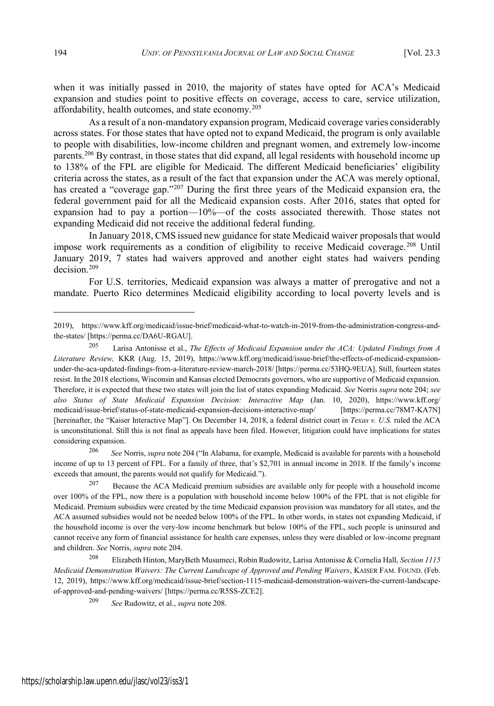when it was initially passed in 2010, the majority of states have opted for ACA's Medicaid expansion and studies point to positive effects on coverage, access to care, service utilization, affordability, health outcomes, and state economy.<sup>205</sup>

As a result of a non-mandatory expansion program, Medicaid coverage varies considerably across states. For those states that have opted not to expand Medicaid, the program is only available to people with disabilities, low-income children and pregnant women, and extremely low-income parents.<sup>206</sup> By contrast, in those states that did expand, all legal residents with household income up to 138% of the FPL are eligible for Medicaid. The different Medicaid beneficiaries' eligibility criteria across the states, as a result of the fact that expansion under the ACA was merely optional, has created a "coverage gap."<sup>207</sup> During the first three years of the Medicaid expansion era, the federal government paid for all the Medicaid expansion costs. After 2016, states that opted for expansion had to pay a portion—10%—of the costs associated therewith. Those states not expanding Medicaid did not receive the additional federal funding.

In January 2018, CMS issued new guidance for state Medicaid waiver proposals that would impose work requirements as a condition of eligibility to receive Medicaid coverage.<sup>208</sup> Until January 2019, 7 states had waivers approved and another eight states had waivers pending decision.<sup>209</sup>

For U.S. territories, Medicaid expansion was always a matter of prerogative and not a mandate. Puerto Rico determines Medicaid eligibility according to local poverty levels and is

<sup>206</sup> *See* Norris, *supra* note 204 ("In Alabama, for example, Medicaid is available for parents with a household income of up to 13 percent of FPL. For a family of three, that's \$2,701 in annual income in 2018. If the family's income exceeds that amount, the parents would not qualify for Medicaid.").

<sup>2019),</sup> https://www.kff.org/medicaid/issue-brief/medicaid-what-to-watch-in-2019-from-the-administration-congress-andthe-states/ [https://perma.cc/DA6U-RGAU].

<sup>205</sup> Larisa Antonisse et al., *The Effects of Medicaid Expansion under the ACA: Updated Findings from A Literature Review,* KKR (Aug. 15, 2019), https://www.kff.org/medicaid/issue-brief/the-effects-of-medicaid-expansionunder-the-aca-updated-findings-from-a-literature-review-march-2018/ [https://perma.cc/53HQ-9EUA]. Still, fourteen states resist. In the 2018 elections, Wisconsin and Kansas elected Democrats governors, who are supportive of Medicaid expansion. Therefore, it is expected that these two states will join the list of states expanding Medicaid. *See* Norris *supra* note 204; *see also Status of State Medicaid Expansion Decision: Interactive Map* (Jan. 10, 2020), https://www.kff.org/ medicaid/issue-brief/status-of-state-medicaid-expansion-decisions-interactive-map/ [https://perma.cc/78M7-KA7N] [hereinafter, the "Kaiser Interactive Map"]. On December 14, 2018, a federal district court in *Texas v. U.S.* ruled the ACA is unconstitutional. Still this is not final as appeals have been filed. However, litigation could have implications for states considering expansion.

<sup>&</sup>lt;sup>207</sup> Because the ACA Medicaid premium subsidies are available only for people with a household income over 100% of the FPL, now there is a population with household income below 100% of the FPL that is not eligible for Medicaid. Premium subsidies were created by the time Medicaid expansion provision was mandatory for all states, and the ACA assumed subsidies would not be needed below 100% of the FPL. In other words, in states not expanding Medicaid, if the household income is over the very-low income benchmark but below 100% of the FPL, such people is uninsured and cannot receive any form of financial assistance for health care expenses, unless they were disabled or low-income pregnant and children. *See* Norris, *supra* note 204.

<sup>208</sup> Elizabeth Hinton, MaryBeth Musumeci, Robin Rudowitz, Larisa Antonisse & Cornelia Hall, *Section 1115 Medicaid Demonstration Waivers: The Current Landscape of Approved and Pending Waivers*, KAISER FAM. FOUND. (Feb. 12, 2019), https://www.kff.org/medicaid/issue-brief/section-1115-medicaid-demonstration-waivers-the-current-landscapeof-approved-and-pending-waivers/ [https://perma.cc/R5SS-ZCE2].

<sup>209</sup> *See* Rudowitz, et al., *supra* note 208.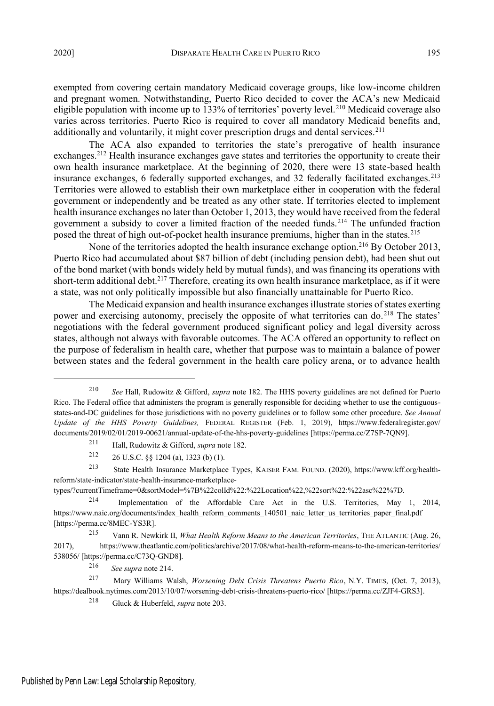exempted from covering certain mandatory Medicaid coverage groups, like low-income children and pregnant women. Notwithstanding, Puerto Rico decided to cover the ACA's new Medicaid eligible population with income up to 133% of territories' poverty level.<sup>210</sup> Medicaid coverage also varies across territories. Puerto Rico is required to cover all mandatory Medicaid benefits and, additionally and voluntarily, it might cover prescription drugs and dental services.<sup>211</sup>

The ACA also expanded to territories the state's prerogative of health insurance exchanges.<sup>212</sup> Health insurance exchanges gave states and territories the opportunity to create their own health insurance marketplace. At the beginning of 2020, there were 13 state-based health insurance exchanges, 6 federally supported exchanges, and 32 federally facilitated exchanges.<sup>213</sup> Territories were allowed to establish their own marketplace either in cooperation with the federal government or independently and be treated as any other state. If territories elected to implement health insurance exchanges no later than October 1, 2013, they would have received from the federal government a subsidy to cover a limited fraction of the needed funds.<sup>214</sup> The unfunded fraction posed the threat of high out-of-pocket health insurance premiums, higher than in the states.<sup>215</sup>

None of the territories adopted the health insurance exchange option.<sup>216</sup> By October 2013, Puerto Rico had accumulated about \$87 billion of debt (including pension debt), had been shut out of the bond market (with bonds widely held by mutual funds), and was financing its operations with short-term additional debt.<sup>217</sup> Therefore, creating its own health insurance marketplace, as if it were a state, was not only politically impossible but also financially unattainable for Puerto Rico.

The Medicaid expansion and health insurance exchangesillustrate stories ofstates exerting power and exercising autonomy, precisely the opposite of what territories can do.<sup>218</sup> The states' negotiations with the federal government produced significant policy and legal diversity across states, although not always with favorable outcomes. The ACA offered an opportunity to reflect on the purpose of federalism in health care, whether that purpose was to maintain a balance of power between states and the federal government in the health care policy arena, or to advance health

types/?currentTimeframe=0&sortModel=%7B%22colId%22:%22Location%22,%22sort%22:%22asc%22%7D.

<sup>210</sup> *See* Hall, Rudowitz & Gifford, *supra* note 182. The HHS poverty guidelines are not defined for Puerto Rico. The Federal office that administers the program is generally responsible for deciding whether to use the contiguousstates-and-DC guidelines for those jurisdictions with no poverty guidelines or to follow some other procedure. *See Annual Update of the HHS Poverty Guidelines,* FEDERAL REGISTER (Feb. 1, 2019), https://www.federalregister.gov/ documents/2019/02/01/2019-00621/annual-update-of-the-hhs-poverty-guidelines [https://perma.cc/Z7SP-7QN9].

<sup>211</sup> Hall, Rudowitz & Gifford, *supra* note 182.

<sup>212 26</sup> U.S.C. §§ 1204 (a), 1323 (b) (1).

<sup>213</sup> State Health Insurance Marketplace Types, KAISER FAM. FOUND. (2020), https://www.kff.org/healthreform/state-indicator/state-health-insurance-marketplace-

<sup>214</sup> Implementation of the Affordable Care Act in the U.S. Territories, May 1, 2014, https://www.naic.org/documents/index\_health\_reform\_comments\_140501\_naic\_letter\_us\_territories\_paper\_final.pdf [https://perma.cc/8MEC-YS3R].

<sup>215</sup> Vann R. Newkirk II, *What Health Reform Means to the American Territories*, THE ATLANTIC (Aug. 26, 2017), https://www.theatlantic.com/politics/archive/2017/08/what-health-reform-means-to-the-american-territories/ 538056/ [https://perma.cc/C73Q-GND8].

<sup>216</sup> *See supra* note 214.

<sup>217</sup> Mary Williams Walsh, *Worsening Debt Crisis Threatens Puerto Rico*, N.Y. TIMES, (Oct. 7, 2013), https://dealbook.nytimes.com/2013/10/07/worsening-debt-crisis-threatens-puerto-rico/ [https://perma.cc/ZJF4-GRS3].

<sup>218</sup> Gluck & Huberfeld, *supra* note 203.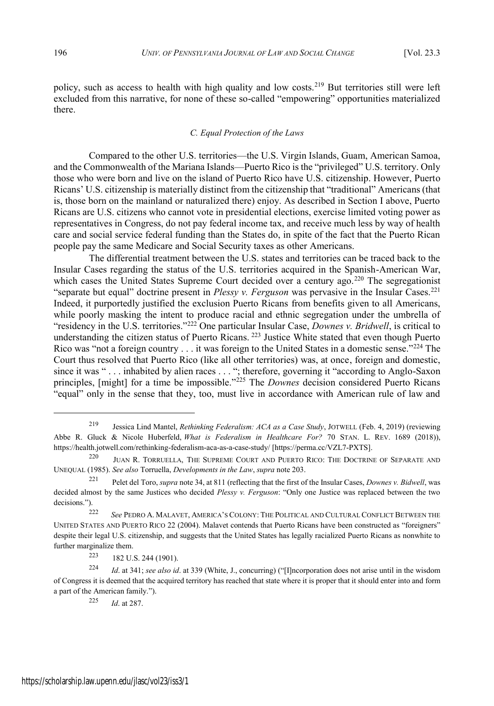policy, such as access to health with high quality and low costs.<sup>219</sup> But territories still were left excluded from this narrative, for none of these so-called "empowering" opportunities materialized there.

#### *C. Equal Protection of the Laws*

Compared to the other U.S. territories—the U.S. Virgin Islands, Guam, American Samoa, and the Commonwealth of the Mariana Islands—Puerto Rico is the "privileged" U.S. territory. Only those who were born and live on the island of Puerto Rico have U.S. citizenship. However, Puerto Ricans' U.S. citizenship is materially distinct from the citizenship that "traditional" Americans (that is, those born on the mainland or naturalized there) enjoy. As described in Section I above, Puerto Ricans are U.S. citizens who cannot vote in presidential elections, exercise limited voting power as representatives in Congress, do not pay federal income tax, and receive much less by way of health care and social service federal funding than the States do, in spite of the fact that the Puerto Rican people pay the same Medicare and Social Security taxes as other Americans.

The differential treatment between the U.S. states and territories can be traced back to the Insular Cases regarding the status of the U.S. territories acquired in the Spanish-American War, which cases the United States Supreme Court decided over a century ago.<sup>220</sup> The segregationist "separate but equal" doctrine present in *Plessy v. Ferguson* was pervasive in the Insular Cases.<sup>221</sup> Indeed, it purportedly justified the exclusion Puerto Ricans from benefits given to all Americans, while poorly masking the intent to produce racial and ethnic segregation under the umbrella of "residency in the U.S. territories."<sup>222</sup> One particular Insular Case, *Downes v. Bridwell*, is critical to understanding the citizen status of Puerto Ricans. <sup>223</sup> Justice White stated that even though Puerto Rico was "not a foreign country  $\dots$  it was foreign to the United States in a domestic sense."<sup>224</sup> The Court thus resolved that Puerto Rico (like all other territories) was, at once, foreign and domestic, since it was " . . . inhabited by alien races . . . "; therefore, governing it "according to Anglo-Saxon principles, [might] for a time be impossible."<sup>225</sup> The *Downes* decision considered Puerto Ricans "equal" only in the sense that they, too, must live in accordance with American rule of law and

<sup>219</sup> Jessica Lind Mantel, *Rethinking Federalism: ACA as a Case Study*, JOTWELL (Feb. 4, 2019) (reviewing Abbe R. Gluck & Nicole Huberfeld, *What is Federalism in Healthcare For?* 70 STAN. L. REV. 1689 (2018)), https://health.jotwell.com/rethinking-federalism-aca-as-a-case-study/ [https://perma.cc/VZL7-PXTS].

<sup>220</sup> JUAN R. TORRUELLA, THE SUPREME COURT AND PUERTO RICO: THE DOCTRINE OF SEPARATE AND UNEQUAL (1985). *See also* Torruella, *Developments in the Law*, *supra* note 203.

<sup>221</sup> Pelet del Toro, *supra* note 34, at 811 (reflecting that the first of the Insular Cases, *Downes v. Bidwell*, was decided almost by the same Justices who decided *Plessy v. Ferguson*: "Only one Justice was replaced between the two decisions.").

<sup>222</sup> *See* PEDRO A. MALAVET, AMERICA'SCOLONY: THE POLITICAL AND CULTURAL CONFLICT BETWEEN THE UNITED STATES AND PUERTO RICO 22 (2004). Malavet contends that Puerto Ricans have been constructed as "foreigners" despite their legal U.S. citizenship, and suggests that the United States has legally racialized Puerto Ricans as nonwhite to further marginalize them.

 $223$  182 U.S. 244 (1901).

<sup>224</sup> *Id*. at 341; *see also id*. at 339 (White, J., concurring) ("[I]ncorporation does not arise until in the wisdom of Congress it is deemed that the acquired territory has reached that state where it is proper that it should enter into and form a part of the American family.").

<sup>225</sup> *Id*. at 287.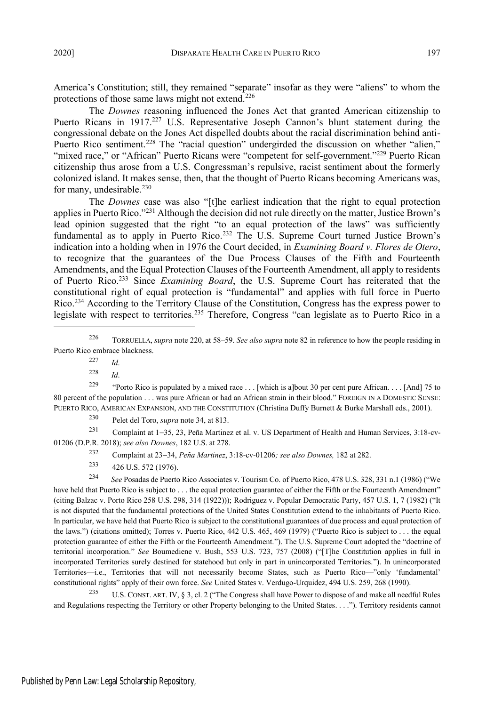America's Constitution; still, they remained "separate" insofar as they were "aliens" to whom the protections of those same laws might not extend.<sup>226</sup>

The *Downes* reasoning influenced the Jones Act that granted American citizenship to Puerto Ricans in 1917.<sup>227</sup> U.S. Representative Joseph Cannon's blunt statement during the congressional debate on the Jones Act dispelled doubts about the racial discrimination behind anti-Puerto Rico sentiment.<sup>228</sup> The "racial question" undergirded the discussion on whether "alien," "mixed race," or "African" Puerto Ricans were "competent for self-government."<sup>229</sup> Puerto Rican citizenship thus arose from a U.S. Congressman's repulsive, racist sentiment about the formerly colonized island. It makes sense, then, that the thought of Puerto Ricans becoming Americans was, for many, undesirable. $230$ 

The *Downes* case was also "[t]he earliest indication that the right to equal protection applies in Puerto Rico."<sup>231</sup> Although the decision did not rule directly on the matter, Justice Brown's lead opinion suggested that the right "to an equal protection of the laws" was sufficiently fundamental as to apply in Puerto Rico.<sup>232</sup> The U.S. Supreme Court turned Justice Brown's indication into a holding when in 1976 the Court decided, in *Examining Board v. Flores de Otero*, to recognize that the guarantees of the Due Process Clauses of the Fifth and Fourteenth Amendments, and the Equal Protection Clauses of the Fourteenth Amendment, all apply to residents of Puerto Rico.<sup>233</sup> Since *Examining Board*, the U.S. Supreme Court has reiterated that the constitutional right of equal protection is "fundamental" and applies with full force in Puerto Rico.<sup>234</sup> According to the Territory Clause of the Constitution, Congress has the express power to legislate with respect to territories.<sup>235</sup> Therefore, Congress "can legislate as to Puerto Rico in a

<sup>229</sup> "Porto Rico is populated by a mixed race . . . [which is a]bout 30 per cent pure African. . . . [And] 75 to 80 percent of the population . . . was pure African or had an African strain in their blood." FOREIGN IN A DOMESTIC SENSE: PUERTO RICO, AMERICAN EXPANSION, AND THE CONSTITUTION (Christina Duffy Burnett & Burke Marshall eds., 2001).

<sup>231</sup> Complaint at 135, 23, Peña Martinez et al. v. US Department of Health and Human Services, 3:18-cv-01206 (D.P.R. 2018); *see also Downes*, 182 U.S. at 278.

<sup>232</sup> Complaint at 2334, *Peña Martinez*, 3:18-cv-01206*; see also Downes,* 182 at 282.

 $233$  426 U.S. 572 (1976).

<sup>234</sup> *See* Posadas de Puerto Rico Associates v. Tourism Co. of Puerto Rico, 478 U.S. 328, 331 n.1 (1986) ("We have held that Puerto Rico is subject to . . . the equal protection guarantee of either the Fifth or the Fourteenth Amendment" (citing Balzac v. Porto Rico 258 U.S. 298, 314 (1922))); Rodriguez v. Popular Democratic Party, 457 U.S. 1, 7 (1982) ("It is not disputed that the fundamental protections of the United States Constitution extend to the inhabitants of Puerto Rico. In particular, we have held that Puerto Rico is subject to the constitutional guarantees of due process and equal protection of the laws.") (citations omitted); Torres v. Puerto Rico, 442 U.S. 465, 469 (1979) ("Puerto Rico is subject to . . . the equal protection guarantee of either the Fifth or the Fourteenth Amendment."). The U.S. Supreme Court adopted the "doctrine of territorial incorporation." *See* Boumediene v. Bush, 553 U.S. 723, 757 (2008) ("[T]he Constitution applies in full in incorporated Territories surely destined for statehood but only in part in unincorporated Territories."). In unincorporated Territories—i.e., Territories that will not necessarily become States, such as Puerto Rico—"only 'fundamental' constitutional rights" apply of their own force. *See* United States v. Verdugo-Urquidez, 494 U.S. 259, 268 (1990).

<sup>235</sup> U.S. CONST. ART. IV, § 3, cl. 2 ("The Congress shall have Power to dispose of and make all needful Rules and Regulations respecting the Territory or other Property belonging to the United States. . . ."). Territory residents cannot

<sup>226</sup> TORRUELLA, *supra* note 220, at 58–59. *See also supra* note 82 in reference to how the people residing in Puerto Rico embrace blackness.

<sup>227</sup> *Id*.

<sup>228</sup> *Id*.

<sup>230</sup> Pelet del Toro, *supra* note 34, at 813.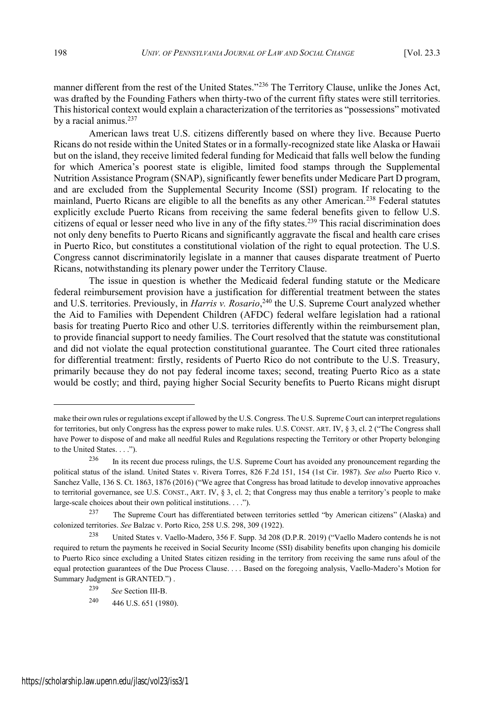manner different from the rest of the United States."<sup>236</sup> The Territory Clause, unlike the Jones Act, was drafted by the Founding Fathers when thirty-two of the current fifty states were still territories. This historical context would explain a characterization of the territories as "possessions" motivated by a racial animus.<sup>237</sup>

American laws treat U.S. citizens differently based on where they live. Because Puerto Ricans do not reside within the United States or in a formally-recognized state like Alaska or Hawaii but on the island, they receive limited federal funding for Medicaid that falls well below the funding for which America's poorest state is eligible, limited food stamps through the Supplemental Nutrition Assistance Program (SNAP), significantly fewer benefits under Medicare Part D program, and are excluded from the Supplemental Security Income (SSI) program. If relocating to the mainland, Puerto Ricans are eligible to all the benefits as any other American.<sup>238</sup> Federal statutes explicitly exclude Puerto Ricans from receiving the same federal benefits given to fellow U.S. citizens of equal or lesser need who live in any of the fifty states.<sup>239</sup> This racial discrimination does not only deny benefits to Puerto Ricans and significantly aggravate the fiscal and health care crises in Puerto Rico, but constitutes a constitutional violation of the right to equal protection. The U.S. Congress cannot discriminatorily legislate in a manner that causes disparate treatment of Puerto Ricans, notwithstanding its plenary power under the Territory Clause.

The issue in question is whether the Medicaid federal funding statute or the Medicare federal reimbursement provision have a justification for differential treatment between the states and U.S. territories. Previously, in *Harris v. Rosario*, <sup>240</sup> the U.S. Supreme Court analyzed whether the Aid to Families with Dependent Children (AFDC) federal welfare legislation had a rational basis for treating Puerto Rico and other U.S. territories differently within the reimbursement plan, to provide financial support to needy families. The Court resolved that the statute was constitutional and did not violate the equal protection constitutional guarantee. The Court cited three rationales for differential treatment: firstly, residents of Puerto Rico do not contribute to the U.S. Treasury, primarily because they do not pay federal income taxes; second, treating Puerto Rico as a state would be costly; and third, paying higher Social Security benefits to Puerto Ricans might disrupt

make their own rules or regulations except if allowed by the U.S. Congress. The U.S. Supreme Court can interpret regulations for territories, but only Congress has the express power to make rules. U.S. CONST. ART. IV, § 3, cl. 2 ("The Congress shall have Power to dispose of and make all needful Rules and Regulations respecting the Territory or other Property belonging to the United States. . . .").

<sup>&</sup>lt;sup>236</sup> In its recent due process rulings, the U.S. Supreme Court has avoided any pronouncement regarding the political status of the island. United States v. Rivera Torres, 826 F.2d 151, 154 (1st Cir. 1987). *See also* Puerto Rico v. Sanchez Valle, 136 S. Ct. 1863, 1876 (2016) ("We agree that Congress has broad latitude to develop innovative approaches to territorial governance, see U.S. CONST., ART. IV, § 3, cl. 2; that Congress may thus enable a territory's people to make large-scale choices about their own political institutions. . . .").

<sup>237</sup> The Supreme Court has differentiated between territories settled "by American citizens" (Alaska) and colonized territories. *See* Balzac v. Porto Rico, 258 U.S. 298, 309 (1922).

<sup>238</sup> United States v. Vaello-Madero, 356 F. Supp. 3d 208 (D.P.R. 2019) ("Vaello Madero contends he is not required to return the payments he received in Social Security Income (SSI) disability benefits upon changing his domicile to Puerto Rico since excluding a United States citizen residing in the territory from receiving the same runs afoul of the equal protection guarantees of the Due Process Clause. . . . Based on the foregoing analysis, Vaello-Madero's Motion for Summary Judgment is GRANTED.") .

<sup>239</sup> *See* Section III-B.

 $240$  446 U.S. 651 (1980).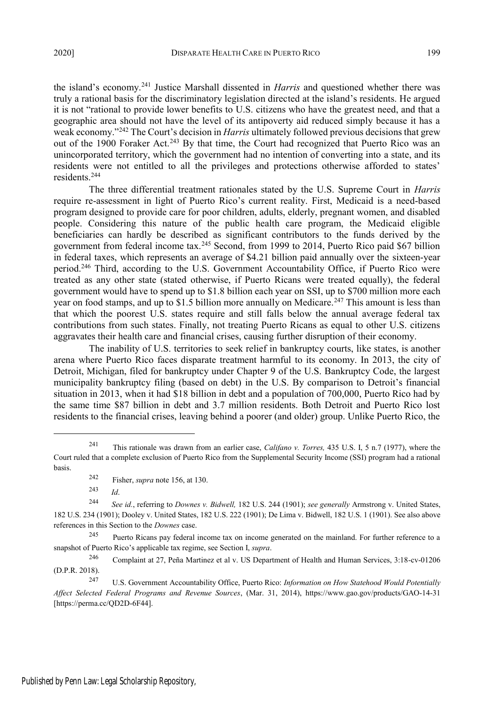the island's economy.<sup>241</sup> Justice Marshall dissented in *Harris* and questioned whether there was truly a rational basis for the discriminatory legislation directed at the island's residents. He argued it is not "rational to provide lower benefits to U.S. citizens who have the greatest need, and that a geographic area should not have the level of its antipoverty aid reduced simply because it has a weak economy."<sup>242</sup> The Court's decision in *Harris* ultimately followed previous decisions that grew out of the 1900 Foraker Act.<sup>243</sup> By that time, the Court had recognized that Puerto Rico was an unincorporated territory, which the government had no intention of converting into a state, and its residents were not entitled to all the privileges and protections otherwise afforded to states' residents.<sup>244</sup>

The three differential treatment rationales stated by the U.S. Supreme Court in *Harris* require re-assessment in light of Puerto Rico's current reality. First, Medicaid is a need-based program designed to provide care for poor children, adults, elderly, pregnant women, and disabled people. Considering this nature of the public health care program, the Medicaid eligible beneficiaries can hardly be described as significant contributors to the funds derived by the government from federal income tax.<sup>245</sup> Second, from 1999 to 2014, Puerto Rico paid \$67 billion in federal taxes, which represents an average of \$4.21 billion paid annually over the sixteen-year period.<sup>246</sup> Third, according to the U.S. Government Accountability Office, if Puerto Rico were treated as any other state (stated otherwise, if Puerto Ricans were treated equally), the federal government would have to spend up to \$1.8 billion each year on SSI, up to \$700 million more each year on food stamps, and up to \$1.5 billion more annually on Medicare.<sup>247</sup> This amount is less than that which the poorest U.S. states require and still falls below the annual average federal tax contributions from such states. Finally, not treating Puerto Ricans as equal to other U.S. citizens aggravates their health care and financial crises, causing further disruption of their economy.

The inability of U.S. territories to seek relief in bankruptcy courts, like states, is another arena where Puerto Rico faces disparate treatment harmful to its economy. In 2013, the city of Detroit, Michigan, filed for bankruptcy under Chapter 9 of the U.S. Bankruptcy Code, the largest municipality bankruptcy filing (based on debt) in the U.S. By comparison to Detroit's financial situation in 2013, when it had \$18 billion in debt and a population of 700,000, Puerto Rico had by the same time \$87 billion in debt and 3.7 million residents. Both Detroit and Puerto Rico lost residents to the financial crises, leaving behind a poorer (and older) group. Unlike Puerto Rico, the

<sup>241</sup> This rationale was drawn from an earlier case, *Califano v. Torres,* 435 U.S. I, 5 n.7 (1977), where the Court ruled that a complete exclusion of Puerto Rico from the Supplemental Security Income (SSI) program had a rational basis.

<sup>&</sup>lt;sup>242</sup> Fisher, *supra* note 156, at 130.<br><sup>243</sup>

*Id.* 

<sup>244</sup> *See id.*, referring to *Downes v. Bidwell,* 182 U.S. 244 (1901); *see generally* Armstrong v. United States, 182 U.S. 234 (1901); Dooley v. United States, 182 U.S. 222 (1901); De Lima v. Bidwell, 182 U.S. 1 (1901). See also above references in this Section to the *Downes* case.

<sup>&</sup>lt;sup>245</sup> Puerto Ricans pay federal income tax on income generated on the mainland. For further reference to a snapshot of Puerto Rico's applicable tax regime, see Section I, *supra*.

<sup>246</sup> Complaint at 27, Peña Martinez et al v. US Department of Health and Human Services, 3:18-cv-01206 (D.P.R. 2018).

<sup>247</sup> U.S. Government Accountability Office, Puerto Rico: *Information on How Statehood Would Potentially Affect Selected Federal Programs and Revenue Sources*, (Mar. 31, 2014), https://www.gao.gov/products/GAO-14-31 [https://perma.cc/QD2D-6F44].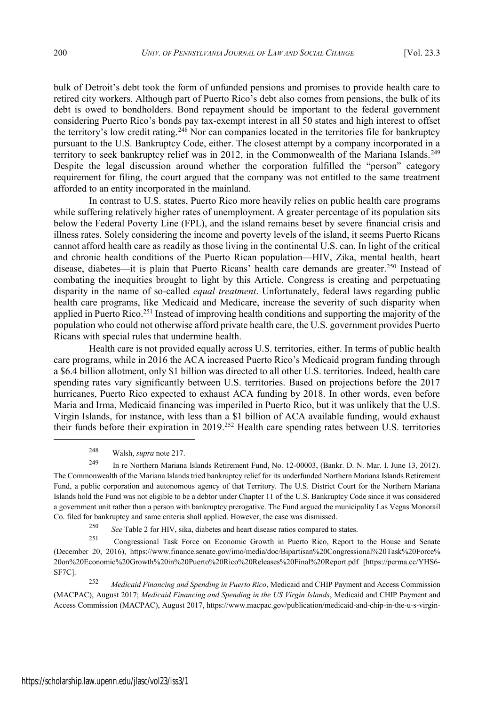bulk of Detroit's debt took the form of unfunded pensions and promises to provide health care to retired city workers. Although part of Puerto Rico's debt also comes from pensions, the bulk of its debt is owed to bondholders. Bond repayment should be important to the federal government considering Puerto Rico's bonds pay tax-exempt interest in all 50 states and high interest to offset the territory's low credit rating.<sup>248</sup> Nor can companies located in the territories file for bankruptcy pursuant to the U.S. Bankruptcy Code, either. The closest attempt by a company incorporated in a territory to seek bankruptcy relief was in 2012, in the Commonwealth of the Mariana Islands.<sup>249</sup> Despite the legal discussion around whether the corporation fulfilled the "person" category requirement for filing, the court argued that the company was not entitled to the same treatment afforded to an entity incorporated in the mainland.

In contrast to U.S. states, Puerto Rico more heavily relies on public health care programs while suffering relatively higher rates of unemployment. A greater percentage of its population sits below the Federal Poverty Line (FPL), and the island remains beset by severe financial crisis and illness rates. Solely considering the income and poverty levels of the island, it seems Puerto Ricans cannot afford health care as readily as those living in the continental U.S. can. In light of the critical and chronic health conditions of the Puerto Rican population—HIV, Zika, mental health, heart disease, diabetes—it is plain that Puerto Ricans' health care demands are greater.<sup>250</sup> Instead of combating the inequities brought to light by this Article, Congress is creating and perpetuating disparity in the name of so-called *equal treatment*. Unfortunately, federal laws regarding public health care programs, like Medicaid and Medicare, increase the severity of such disparity when applied in Puerto Rico.<sup>251</sup> Instead of improving health conditions and supporting the majority of the population who could not otherwise afford private health care, the U.S. government provides Puerto Ricans with special rules that undermine health.

Health care is not provided equally across U.S. territories, either. In terms of public health care programs, while in 2016 the ACA increased Puerto Rico's Medicaid program funding through a \$6.4 billion allotment, only \$1 billion was directed to all other U.S. territories. Indeed, health care spending rates vary significantly between U.S. territories. Based on projections before the 2017 hurricanes, Puerto Rico expected to exhaust ACA funding by 2018. In other words, even before Maria and Irma, Medicaid financing was imperiled in Puerto Rico, but it was unlikely that the U.S. Virgin Islands, for instance, with less than a \$1 billion of ACA available funding, would exhaust their funds before their expiration in 2019.<sup>252</sup> Health care spending rates between U.S. territories

<sup>248</sup> Walsh, *supra* note 217.

<sup>249</sup> In re Northern Mariana Islands Retirement Fund, No. 12-00003, (Bankr. D. N. Mar. I. June 13, 2012). The Commonwealth of the Mariana Islands tried bankruptcy relief for its underfunded Northern Mariana Islands Retirement Fund, a public corporation and autonomous agency of that Territory. The U.S. District Court for the Northern Mariana Islands hold the Fund was not eligible to be a debtor under Chapter 11 of the U.S. Bankruptcy Code since it was considered a government unit rather than a person with bankruptcy prerogative. The Fund argued the municipality Las Vegas Monorail Co. filed for bankruptcy and same criteria shall applied. However, the case was dismissed.

<sup>250</sup> *See* Table 2 for HIV, sika, diabetes and heart disease ratios compared to states.

<sup>251</sup> Congressional Task Force on Economic Growth in Puerto Rico, Report to the House and Senate (December 20, 2016), https://www.finance.senate.gov/imo/media/doc/Bipartisan%20Congressional%20Task%20Force% 20on%20Economic%20Growth%20in%20Puerto%20Rico%20Releases%20Final%20Report.pdf [https://perma.cc/YHS6- SF7C].

<sup>252</sup> *Medicaid Financing and Spending in Puerto Rico*, Medicaid and CHIP Payment and Access Commission (MACPAC), August 2017; *Medicaid Financing and Spending in the US Virgin Islands*, Medicaid and CHIP Payment and Access Commission (MACPAC), August 2017, https://www.macpac.gov/publication/medicaid-and-chip-in-the-u-s-virgin-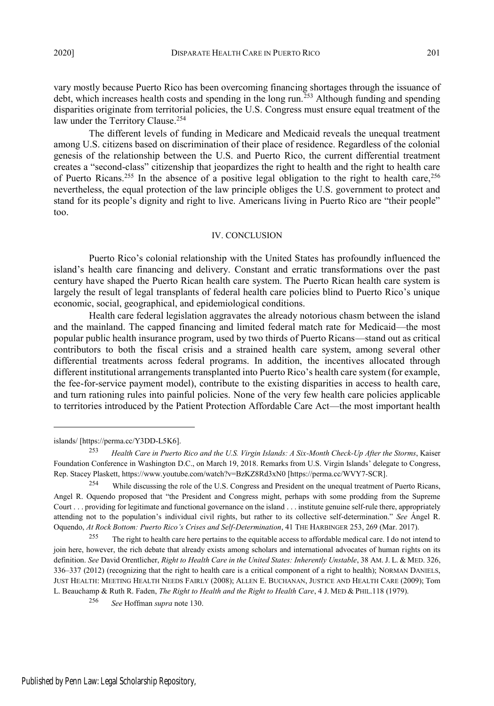The different levels of funding in Medicare and Medicaid reveals the unequal treatment among U.S. citizens based on discrimination of their place of residence. Regardless of the colonial genesis of the relationship between the U.S. and Puerto Rico, the current differential treatment creates a "second-class" citizenship that jeopardizes the right to health and the right to health care of Puerto Ricans.<sup>255</sup> In the absence of a positive legal obligation to the right to health care,<sup>256</sup> nevertheless, the equal protection of the law principle obliges the U.S. government to protect and stand for its people's dignity and right to live. Americans living in Puerto Rico are "their people" too.

#### IV. CONCLUSION

Puerto Rico's colonial relationship with the United States has profoundly influenced the island's health care financing and delivery. Constant and erratic transformations over the past century have shaped the Puerto Rican health care system. The Puerto Rican health care system is largely the result of legal transplants of federal health care policies blind to Puerto Rico's unique economic, social, geographical, and epidemiological conditions.

Health care federal legislation aggravates the already notorious chasm between the island and the mainland. The capped financing and limited federal match rate for Medicaid—the most popular public health insurance program, used by two thirds of Puerto Ricans—stand out as critical contributors to both the fiscal crisis and a strained health care system, among several other differential treatments across federal programs. In addition, the incentives allocated through different institutional arrangements transplanted into Puerto Rico's health care system (for example, the fee-for-service payment model), contribute to the existing disparities in access to health care, and turn rationing rules into painful policies. None of the very few health care policies applicable to territories introduced by the Patient Protection Affordable Care Act—the most important health

islands/ [https://perma.cc/Y3DD-L5K6].

<sup>253</sup> *Health Care in Puerto Rico and the U.S. Virgin Islands: A Six-Month Check-Up After the Storms*, Kaiser Foundation Conference in Washington D.C., on March 19, 2018. Remarks from U.S. Virgin Islands' delegate to Congress, Rep. Stacey Plaskett, https://www.youtube.com/watch?v=BzKZ8Rd3xN0 [https://perma.cc/WVY7-SCR].

<sup>&</sup>lt;sup>254</sup> While discussing the role of the U.S. Congress and President on the unequal treatment of Puerto Ricans, Angel R. Oquendo proposed that "the President and Congress might, perhaps with some prodding from the Supreme Court . . . providing for legitimate and functional governance on the island . . . institute genuine self-rule there, appropriately attending not to the population's individual civil rights, but rather to its collective self-determination." *See* Ángel R. Oquendo, *At Rock Bottom: Puerto Rico's Crises and Self-Determination*, 41 THE HARBINGER 253, 269 (Mar. 2017).

<sup>&</sup>lt;sup>255</sup> The right to health care here pertains to the equitable access to affordable medical care. I do not intend to join here, however, the rich debate that already exists among scholars and international advocates of human rights on its definition. *See* David Orentlicher, *Right to Health Care in the United States: Inherently Unstable*, 38 AM. J. L. & MED. 326, 336–337 (2012) (recognizing that the right to health care is a critical component of a right to health); NORMAN DANIELS, JUST HEALTH: MEETING HEALTH NEEDS FAIRLY (2008); ALLEN E. BUCHANAN, JUSTICE AND HEALTH CARE (2009); Tom L. Beauchamp & Ruth R. Faden, *The Right to Health and the Right to Health Care*, 4 J. MED & PHIL.118 (1979).

<sup>256</sup> *See* Hoffman *supra* note 130.